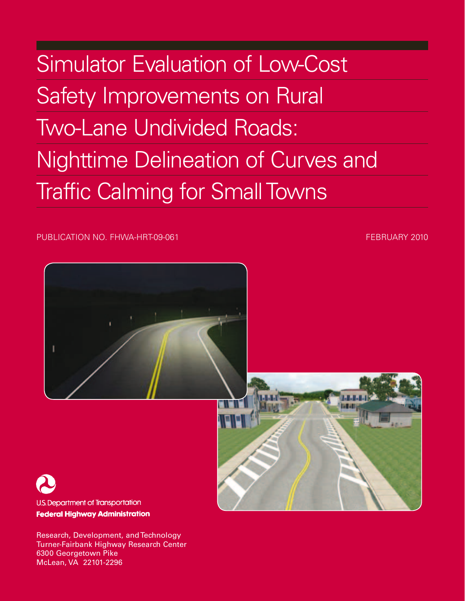Simulator Evaluation of Low-Cost Safety Improvements on Rural Two-Lane Undivided Roads: Nighttime Delineation of Curves and Traffic Calming for Small Towns

PUBLICATION NO. FHWA-HRT-09-061 **FEBRUARY 2010 FEBRUARY 2010** 



**Federal Highway Administration** 

Research, Development, and Technology Turner-Fairbank Highway Research Center 6300 Georgetown Pike McLean, VA 22101-2296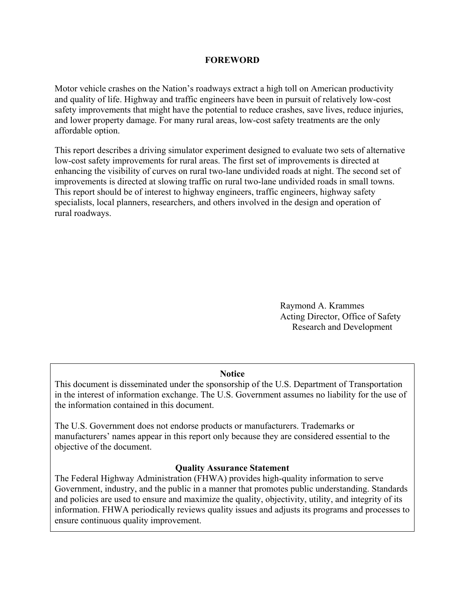#### **FOREWORD**

Motor vehicle crashes on the Nation's roadways extract a high toll on American productivity and quality of life. Highway and traffic engineers have been in pursuit of relatively low-cost safety improvements that might have the potential to reduce crashes, save lives, reduce injuries, and lower property damage. For many rural areas, low-cost safety treatments are the only affordable option.

This report describes a driving simulator experiment designed to evaluate two sets of alternative low-cost safety improvements for rural areas. The first set of improvements is directed at enhancing the visibility of curves on rural two-lane undivided roads at night. The second set of improvements is directed at slowing traffic on rural two-lane undivided roads in small towns. This report should be of interest to highway engineers, traffic engineers, highway safety specialists, local planners, researchers, and others involved in the design and operation of rural roadways.

> Raymond A. Krammes Acting Director, Office of Safety Research and Development

#### **Notice**

This document is disseminated under the sponsorship of the U.S. Department of Transportation in the interest of information exchange. The U.S. Government assumes no liability for the use of the information contained in this document.

The U.S. Government does not endorse products or manufacturers. Trademarks or manufacturers' names appear in this report only because they are considered essential to the objective of the document.

#### **Quality Assurance Statement**

The Federal Highway Administration (FHWA) provides high-quality information to serve Government, industry, and the public in a manner that promotes public understanding. Standards and policies are used to ensure and maximize the quality, objectivity, utility, and integrity of its information. FHWA periodically reviews quality issues and adjusts its programs and processes to ensure continuous quality improvement.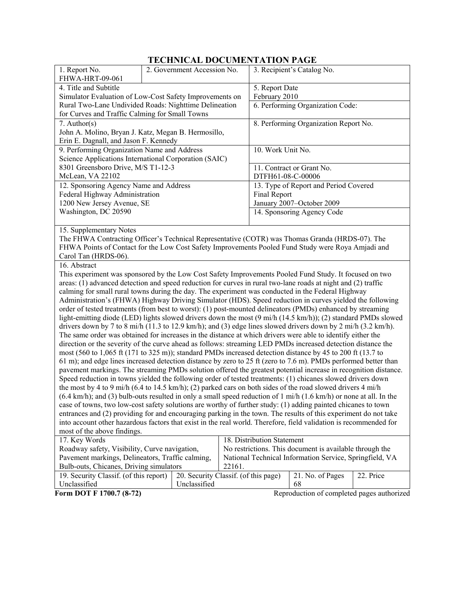# **TECHNICAL DOCUMENTATION PAGE**

| 1. Report No.                                                                                                                 |                                                                                                          | 2. Government Accession No.          |                                  |                                                         | 3. Recipient's Catalog No.                              |           |
|-------------------------------------------------------------------------------------------------------------------------------|----------------------------------------------------------------------------------------------------------|--------------------------------------|----------------------------------|---------------------------------------------------------|---------------------------------------------------------|-----------|
| FHWA-HRT-09-061                                                                                                               |                                                                                                          |                                      |                                  |                                                         |                                                         |           |
| 4. Title and Subtitle                                                                                                         |                                                                                                          |                                      | 5. Report Date                   |                                                         |                                                         |           |
| Simulator Evaluation of Low-Cost Safety Improvements on                                                                       |                                                                                                          |                                      | February 2010                    |                                                         |                                                         |           |
| Rural Two-Lane Undivided Roads: Nighttime Delineation                                                                         |                                                                                                          |                                      | 6. Performing Organization Code: |                                                         |                                                         |           |
| for Curves and Traffic Calming for Small Towns                                                                                |                                                                                                          |                                      |                                  |                                                         |                                                         |           |
| $7.$ Author(s)                                                                                                                |                                                                                                          |                                      |                                  |                                                         | 8. Performing Organization Report No.                   |           |
| John A. Molino, Bryan J. Katz, Megan B. Hermosillo,                                                                           |                                                                                                          |                                      |                                  |                                                         |                                                         |           |
| Erin E. Dagnall, and Jason F. Kennedy                                                                                         |                                                                                                          |                                      |                                  |                                                         |                                                         |           |
| 9. Performing Organization Name and Address                                                                                   |                                                                                                          |                                      |                                  | 10. Work Unit No.                                       |                                                         |           |
| Science Applications International Corporation (SAIC)                                                                         |                                                                                                          |                                      |                                  |                                                         |                                                         |           |
| 8301 Greensboro Drive, M/S T1-12-3                                                                                            |                                                                                                          |                                      |                                  |                                                         | 11. Contract or Grant No.                               |           |
| McLean, VA 22102                                                                                                              |                                                                                                          |                                      |                                  | DTFH61-08-C-00006                                       |                                                         |           |
| 12. Sponsoring Agency Name and Address                                                                                        |                                                                                                          |                                      |                                  |                                                         | 13. Type of Report and Period Covered                   |           |
| Federal Highway Administration                                                                                                |                                                                                                          |                                      |                                  | Final Report                                            |                                                         |           |
| 1200 New Jersey Avenue, SE                                                                                                    |                                                                                                          |                                      |                                  |                                                         | January 2007-October 2009                               |           |
| Washington, DC 20590                                                                                                          |                                                                                                          |                                      |                                  |                                                         | 14. Sponsoring Agency Code                              |           |
|                                                                                                                               |                                                                                                          |                                      |                                  |                                                         |                                                         |           |
| 15. Supplementary Notes                                                                                                       |                                                                                                          |                                      |                                  |                                                         |                                                         |           |
| The FHWA Contracting Officer's Technical Representative (COTR) was Thomas Granda (HRDS-07). The                               |                                                                                                          |                                      |                                  |                                                         |                                                         |           |
| FHWA Points of Contact for the Low Cost Safety Improvements Pooled Fund Study were Roya Amjadi and                            |                                                                                                          |                                      |                                  |                                                         |                                                         |           |
| Carol Tan (HRDS-06).                                                                                                          |                                                                                                          |                                      |                                  |                                                         |                                                         |           |
| 16. Abstract                                                                                                                  |                                                                                                          |                                      |                                  |                                                         |                                                         |           |
| This experiment was sponsored by the Low Cost Safety Improvements Pooled Fund Study. It focused on two                        |                                                                                                          |                                      |                                  |                                                         |                                                         |           |
| areas: (1) advanced detection and speed reduction for curves in rural two-lane roads at night and (2) traffic                 |                                                                                                          |                                      |                                  |                                                         |                                                         |           |
| calming for small rural towns during the day. The experiment was conducted in the Federal Highway                             |                                                                                                          |                                      |                                  |                                                         |                                                         |           |
|                                                                                                                               | Administration's (FHWA) Highway Driving Simulator (HDS). Speed reduction in curves yielded the following |                                      |                                  |                                                         |                                                         |           |
| order of tested treatments (from best to worst): (1) post-mounted delineators (PMDs) enhanced by streaming                    |                                                                                                          |                                      |                                  |                                                         |                                                         |           |
| light-emitting diode (LED) lights slowed drivers down the most (9 mi/h (14.5 km/h)); (2) standard PMDs slowed                 |                                                                                                          |                                      |                                  |                                                         |                                                         |           |
| drivers down by 7 to 8 mi/h (11.3 to 12.9 km/h); and (3) edge lines slowed drivers down by 2 mi/h (3.2 km/h).                 |                                                                                                          |                                      |                                  |                                                         |                                                         |           |
| The same order was obtained for increases in the distance at which drivers were able to identify either the                   |                                                                                                          |                                      |                                  |                                                         |                                                         |           |
| direction or the severity of the curve ahead as follows: streaming LED PMDs increased detection distance the                  |                                                                                                          |                                      |                                  |                                                         |                                                         |           |
| most (560 to 1,065 ft (171 to 325 m)); standard PMDs increased detection distance by 45 to 200 ft (13.7 to                    |                                                                                                          |                                      |                                  |                                                         |                                                         |           |
| 61 m); and edge lines increased detection distance by zero to 25 ft (zero to 7.6 m). PMDs performed better than               |                                                                                                          |                                      |                                  |                                                         |                                                         |           |
| pavement markings. The streaming PMDs solution offered the greatest potential increase in recognition distance.               |                                                                                                          |                                      |                                  |                                                         |                                                         |           |
| Speed reduction in towns yielded the following order of tested treatments: (1) chicanes slowed drivers down                   |                                                                                                          |                                      |                                  |                                                         |                                                         |           |
| the most by 4 to 9 mi/h (6.4 to 14.5 km/h); (2) parked cars on both sides of the road slowed drivers 4 mi/h                   |                                                                                                          |                                      |                                  |                                                         |                                                         |           |
| $(6.4 \text{ km/h})$ ; and (3) bulb-outs resulted in only a small speed reduction of 1 mi/h (1.6 km/h) or none at all. In the |                                                                                                          |                                      |                                  |                                                         |                                                         |           |
| case of towns, two low-cost safety solutions are worthy of further study: (1) adding painted chicanes to town                 |                                                                                                          |                                      |                                  |                                                         |                                                         |           |
| entrances and (2) providing for and encouraging parking in the town. The results of this experiment do not take               |                                                                                                          |                                      |                                  |                                                         |                                                         |           |
| into account other hazardous factors that exist in the real world. Therefore, field validation is recommended for             |                                                                                                          |                                      |                                  |                                                         |                                                         |           |
| most of the above findings.                                                                                                   |                                                                                                          |                                      |                                  |                                                         |                                                         |           |
| 17. Key Words                                                                                                                 |                                                                                                          |                                      |                                  | 18. Distribution Statement                              |                                                         |           |
| Roadway safety, Visibility, Curve navigation,                                                                                 |                                                                                                          |                                      |                                  | No restrictions. This document is available through the |                                                         |           |
| Pavement markings, Delineators, Traffic calming,                                                                              |                                                                                                          |                                      |                                  |                                                         | National Technical Information Service, Springfield, VA |           |
| Bulb-outs, Chicanes, Driving simulators                                                                                       |                                                                                                          |                                      | 22161.                           |                                                         |                                                         |           |
| 19. Security Classif. (of this report)                                                                                        |                                                                                                          | 20. Security Classif. (of this page) |                                  |                                                         | 21. No. of Pages                                        | 22. Price |
| Unclassified<br>Unclassified<br>68                                                                                            |                                                                                                          |                                      |                                  |                                                         |                                                         |           |
| Form DOT F 1700.7 (8-72)                                                                                                      |                                                                                                          |                                      |                                  |                                                         | Reproduction of completed pages authorized              |           |
|                                                                                                                               |                                                                                                          |                                      |                                  |                                                         |                                                         |           |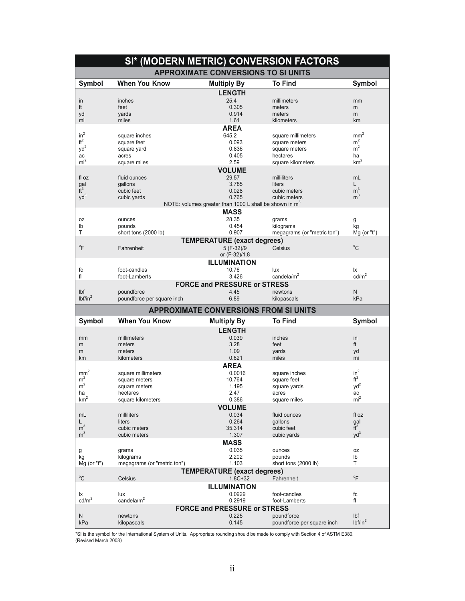|                                   |                                     | SI* (MODERN METRIC) CONVERSION FACTORS                   |                                |                            |
|-----------------------------------|-------------------------------------|----------------------------------------------------------|--------------------------------|----------------------------|
|                                   |                                     | <b>APPROXIMATE CONVERSIONS TO SI UNITS</b>               |                                |                            |
| Symbol                            | <b>When You Know</b>                | <b>Multiply By</b>                                       | <b>To Find</b>                 | Symbol                     |
|                                   |                                     | <b>LENGTH</b>                                            |                                |                            |
| in                                | inches                              | 25.4                                                     | millimeters                    | mm                         |
| ft                                | feet                                | 0.305                                                    | meters                         | m                          |
| yd                                | yards                               | 0.914                                                    | meters                         | m                          |
| mi                                | miles                               | 1.61                                                     | kilometers                     | km                         |
| $in^2$                            |                                     | <b>AREA</b>                                              |                                |                            |
| $\mathrm{ft}^2$                   | square inches                       | 645.2                                                    | square millimeters             | $mm^2$<br>m <sup>2</sup>   |
| yd <sup>2</sup>                   | square feet<br>square yard          | 0.093<br>0.836                                           | square meters<br>square meters | m <sup>2</sup>             |
| ac                                | acres                               | 0.405                                                    | hectares                       | ha                         |
| mi <sup>2</sup>                   | square miles                        | 2.59                                                     | square kilometers              | km <sup>2</sup>            |
|                                   |                                     | <b>VOLUME</b>                                            |                                |                            |
| fl oz                             | fluid ounces                        | 29.57                                                    | milliliters                    | mL                         |
| gal                               | gallons                             | 3.785                                                    | liters                         | L                          |
| $\tilde{t}$ <sup>3</sup>          | cubic feet                          | 0.028                                                    | cubic meters                   | m <sup>3</sup>             |
| $yd^3$                            | cubic yards                         | 0.765                                                    | cubic meters                   | m <sup>3</sup>             |
|                                   |                                     | NOTE: volumes greater than 1000 L shall be shown in $m3$ |                                |                            |
|                                   |                                     | <b>MASS</b>                                              |                                |                            |
| 0Z                                | ounces                              | 28.35                                                    | grams                          | g                          |
| lb                                | pounds                              | 0.454                                                    | kilograms                      | kg                         |
| Τ                                 | short tons (2000 lb)                | 0.907                                                    | megagrams (or "metric ton")    | Mg (or "t")                |
|                                   |                                     | <b>TEMPERATURE (exact degrees)</b>                       |                                | $^{\circ}C$                |
| $\mathrm{P}$                      | Fahrenheit                          | 5 (F-32)/9<br>or (F-32)/1.8                              | Celsius                        |                            |
|                                   |                                     | <b>ILLUMINATION</b>                                      |                                |                            |
| fc                                | foot-candles                        | 10.76                                                    | lux                            | lx                         |
| fl                                | foot-Lamberts                       | 3.426                                                    | candela/ $m2$                  | cd/m <sup>2</sup>          |
|                                   |                                     | <b>FORCE and PRESSURE or STRESS</b>                      |                                |                            |
| Ibf                               | poundforce                          | 4.45                                                     | newtons                        | N                          |
| lbf/in <sup>2</sup>               | poundforce per square inch          | 6.89                                                     | kilopascals                    | kPa                        |
|                                   |                                     |                                                          |                                |                            |
|                                   |                                     | <b>APPROXIMATE CONVERSIONS FROM SI UNITS</b>             |                                |                            |
| Symbol                            | <b>When You Know</b>                | <b>Multiply By</b>                                       | <b>To Find</b>                 | Symbol                     |
|                                   | millimeters                         | <b>LENGTH</b>                                            | inches                         |                            |
| mm<br>m                           |                                     |                                                          |                                |                            |
|                                   |                                     | 0.039                                                    |                                | in                         |
|                                   | meters                              | 3.28                                                     | feet                           | ft                         |
| m<br>km                           | meters<br>kilometers                | 1.09<br>0.621                                            | vards<br>miles                 | yd<br>mi                   |
|                                   |                                     |                                                          |                                |                            |
|                                   |                                     | <b>AREA</b>                                              |                                |                            |
| mm <sup>2</sup><br>m <sup>2</sup> | square millimeters<br>square meters | 0.0016<br>10.764                                         | square inches<br>square feet   | $in^2$<br>$\mathrm{ft}^2$  |
| m <sup>2</sup>                    | square meters                       | 1.195                                                    | square yards                   | $yd^2$                     |
| ha                                | hectares                            | 2.47                                                     | acres                          | ac                         |
| km <sup>2</sup>                   | square kilometers                   | 0.386                                                    | square miles                   | mi <sup>2</sup>            |
|                                   |                                     | <b>VOLUME</b>                                            |                                |                            |
| mL                                | milliliters                         | 0.034                                                    | fluid ounces                   | fl oz                      |
| L                                 | liters                              | 0.264                                                    | gallons                        |                            |
| m <sup>3</sup>                    | cubic meters                        | 35.314                                                   | cubic feet                     | $\frac{gal}{ft^3}$         |
| m <sup>3</sup>                    | cubic meters                        | 1.307                                                    | cubic yards                    | $yd^3$                     |
|                                   |                                     | <b>MASS</b>                                              |                                |                            |
| g                                 | grams                               | 0.035                                                    | ounces                         | 0Z                         |
| kg                                | kilograms                           | 2.202<br>1.103                                           | pounds<br>short tons (2000 lb) | Ib<br>T.                   |
| Mg (or "t")                       | megagrams (or "metric ton")         |                                                          |                                |                            |
| $^{\circ}$ C                      | Celsius                             | <b>TEMPERATURE (exact degrees)</b><br>$1.8C + 32$        | Fahrenheit                     | $\mathrm{P}$               |
|                                   |                                     |                                                          |                                |                            |
|                                   |                                     | <b>ILLUMINATION</b>                                      |                                |                            |
| Ιx<br>$\text{cd/m}^2$             | lux<br>candela/ $m2$                | 0.0929<br>0.2919                                         | foot-candles<br>foot-Lamberts  | fc<br>fl                   |
|                                   |                                     |                                                          |                                |                            |
| N                                 | newtons                             | <b>FORCE and PRESSURE or STRESS</b><br>0.225             | poundforce                     | Ibf<br>lbf/in <sup>2</sup> |

\*SI is the symbol for the International System of Units. Appropriate rounding should be made to comply with Section 4 of ASTM E380.<br>(Revised March 2003)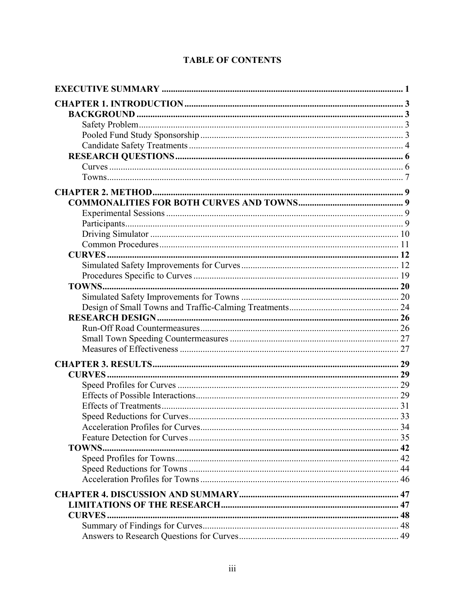| TOWNS         |  |
|---------------|--|
|               |  |
|               |  |
|               |  |
|               |  |
|               |  |
| <b>CURVES</b> |  |
|               |  |
|               |  |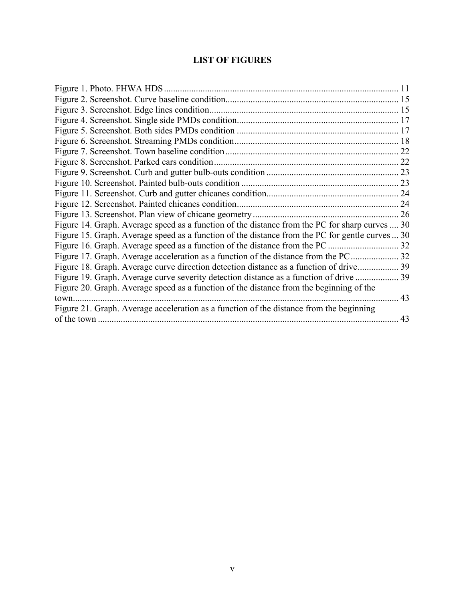# **LIST OF FIGURES**

| Figure 14. Graph. Average speed as a function of the distance from the PC for sharp curves  30  |    |
|-------------------------------------------------------------------------------------------------|----|
| Figure 15. Graph. Average speed as a function of the distance from the PC for gentle curves  30 |    |
|                                                                                                 | 32 |
|                                                                                                 |    |
|                                                                                                 |    |
| Figure 19. Graph. Average curve severity detection distance as a function of drive              |    |
| Figure 20. Graph. Average speed as a function of the distance from the beginning of the         |    |
| town                                                                                            | 43 |
| Figure 21. Graph. Average acceleration as a function of the distance from the beginning         |    |
|                                                                                                 | 43 |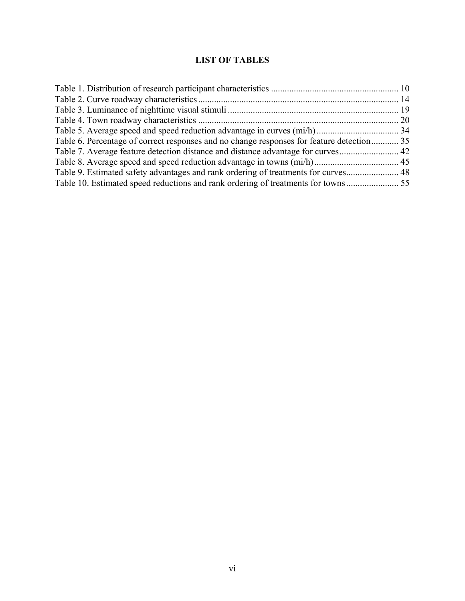# **LIST OF TABLES**

| Table 6. Percentage of correct responses and no change responses for feature detection 35 |  |
|-------------------------------------------------------------------------------------------|--|
|                                                                                           |  |
|                                                                                           |  |
| Table 9. Estimated safety advantages and rank ordering of treatments for curves 48        |  |
|                                                                                           |  |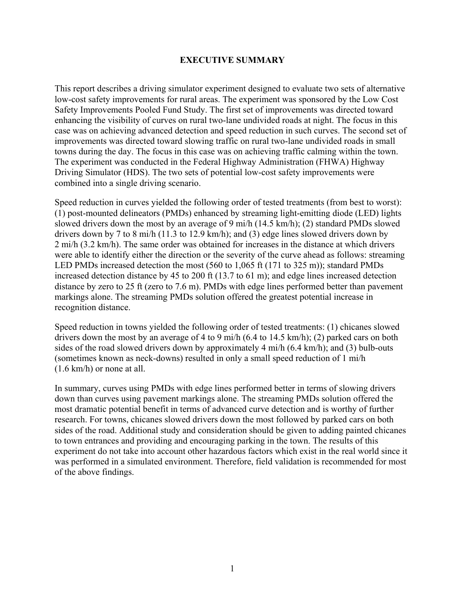#### **EXECUTIVE SUMMARY**

This report describes a driving simulator experiment designed to evaluate two sets of alternative low-cost safety improvements for rural areas. The experiment was sponsored by the Low Cost Safety Improvements Pooled Fund Study. The first set of improvements was directed toward enhancing the visibility of curves on rural two-lane undivided roads at night. The focus in this case was on achieving advanced detection and speed reduction in such curves. The second set of improvements was directed toward slowing traffic on rural two-lane undivided roads in small towns during the day. The focus in this case was on achieving traffic calming within the town. The experiment was conducted in the Federal Highway Administration (FHWA) Highway Driving Simulator (HDS). The two sets of potential low-cost safety improvements were combined into a single driving scenario.

Speed reduction in curves yielded the following order of tested treatments (from best to worst): (1) post-mounted delineators (PMDs) enhanced by streaming light-emitting diode (LED) lights slowed drivers down the most by an average of 9 mi/h (14.5 km/h); (2) standard PMDs slowed drivers down by 7 to 8 mi/h (11.3 to 12.9 km/h); and (3) edge lines slowed drivers down by 2 mi/h (3.2 km/h). The same order was obtained for increases in the distance at which drivers were able to identify either the direction or the severity of the curve ahead as follows: streaming LED PMDs increased detection the most (560 to 1,065 ft (171 to 325 m)); standard PMDs increased detection distance by 45 to 200 ft (13.7 to 61 m); and edge lines increased detection distance by zero to 25 ft (zero to 7.6 m). PMDs with edge lines performed better than pavement markings alone. The streaming PMDs solution offered the greatest potential increase in recognition distance.

Speed reduction in towns yielded the following order of tested treatments: (1) chicanes slowed drivers down the most by an average of 4 to 9 mi/h (6.4 to 14.5 km/h); (2) parked cars on both sides of the road slowed drivers down by approximately 4 mi/h (6.4 km/h); and (3) bulb-outs (sometimes known as neck-downs) resulted in only a small speed reduction of 1 mi/h (1.6 km/h) or none at all.

In summary, curves using PMDs with edge lines performed better in terms of slowing drivers down than curves using pavement markings alone. The streaming PMDs solution offered the most dramatic potential benefit in terms of advanced curve detection and is worthy of further research. For towns, chicanes slowed drivers down the most followed by parked cars on both sides of the road. Additional study and consideration should be given to adding painted chicanes to town entrances and providing and encouraging parking in the town. The results of this experiment do not take into account other hazardous factors which exist in the real world since it was performed in a simulated environment. Therefore, field validation is recommended for most of the above findings.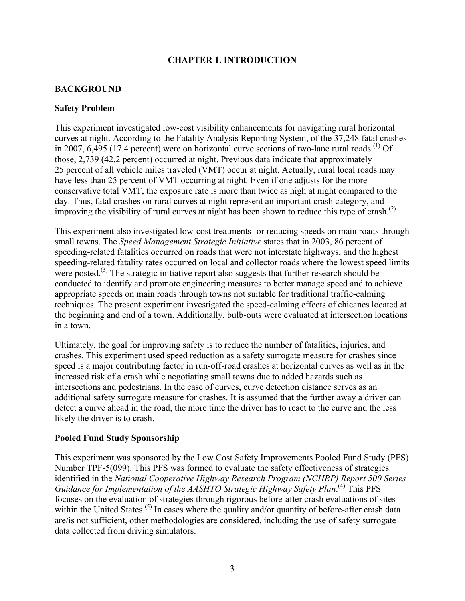## **CHAPTER 1. INTRODUCTION**

# **BACKGROUND**

#### **Safety Problem**

This experiment investigated low-cost visibility enhancements for navigating rural horizontal curves at night. According to the Fatality Analysis Reporting System, of the 37,248 fatal crashes in 2007, 6,495 (17.4 percent) were on horizontal curve sections of two-lane rural roads.<sup>(1)</sup> Of those, 2,739 (42.2 percent) occurred at night. Previous data indicate that approximately 25 percent of all vehicle miles traveled (VMT) occur at night. Actually, rural local roads may have less than 25 percent of VMT occurring at night. Even if one adjusts for the more conservative total VMT, the exposure rate is more than twice as high at night compared to the day. Thus, fatal crashes on rural curves at night represent an important crash category, and improving the visibility of rural curves at night has been shown to reduce this type of crash.<sup>(2)</sup>

This experiment also investigated low-cost treatments for reducing speeds on main roads through small towns. The *Speed Management Strategic Initiative* states that in 2003, 86 percent of speeding-related fatalities occurred on roads that were not interstate highways, and the highest speeding-related fatality rates occurred on local and collector roads where the lowest speed limits were posted.<sup>(3)</sup> The strategic initiative report also suggests that further research should be conducted to identify and promote engineering measures to better manage speed and to achieve appropriate speeds on main roads through towns not suitable for traditional traffic-calming techniques. The present experiment investigated the speed-calming effects of chicanes located at the beginning and end of a town. Additionally, bulb-outs were evaluated at intersection locations in a town.

Ultimately, the goal for improving safety is to reduce the number of fatalities, injuries, and crashes. This experiment used speed reduction as a safety surrogate measure for crashes since speed is a major contributing factor in run-off-road crashes at horizontal curves as well as in the increased risk of a crash while negotiating small towns due to added hazards such as intersections and pedestrians. In the case of curves, curve detection distance serves as an additional safety surrogate measure for crashes. It is assumed that the further away a driver can detect a curve ahead in the road, the more time the driver has to react to the curve and the less likely the driver is to crash.

## **Pooled Fund Study Sponsorship**

This experiment was sponsored by the Low Cost Safety Improvements Pooled Fund Study (PFS) Number TPF-5(099). This PFS was formed to evaluate the safety effectiveness of strategies identified in the *National Cooperative Highway Research Program (NCHRP) Report 500 Series Guidance for Implementation of the AASHTO Strategic Highway Safety Plan*. (4) This PFS focuses on the evaluation of strategies through rigorous before-after crash evaluations of sites within the United States.<sup>(5)</sup> In cases where the quality and/or quantity of before-after crash data are/is not sufficient, other methodologies are considered, including the use of safety surrogate data collected from driving simulators.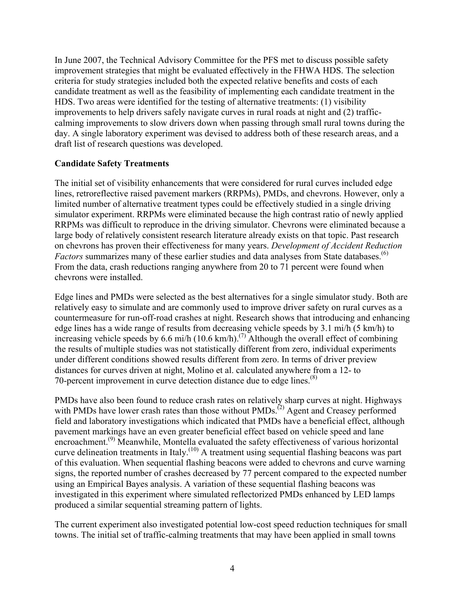In June 2007, the Technical Advisory Committee for the PFS met to discuss possible safety improvement strategies that might be evaluated effectively in the FHWA HDS. The selection criteria for study strategies included both the expected relative benefits and costs of each candidate treatment as well as the feasibility of implementing each candidate treatment in the HDS. Two areas were identified for the testing of alternative treatments: (1) visibility improvements to help drivers safely navigate curves in rural roads at night and (2) trafficcalming improvements to slow drivers down when passing through small rural towns during the day. A single laboratory experiment was devised to address both of these research areas, and a draft list of research questions was developed.

#### **Candidate Safety Treatments**

The initial set of visibility enhancements that were considered for rural curves included edge lines, retroreflective raised pavement markers (RRPMs), PMDs, and chevrons. However, only a limited number of alternative treatment types could be effectively studied in a single driving simulator experiment. RRPMs were eliminated because the high contrast ratio of newly applied RRPMs was difficult to reproduce in the driving simulator. Chevrons were eliminated because a large body of relatively consistent research literature already exists on that topic. Past research on chevrons has proven their effectiveness for many years. *Development of Accident Reduction Factors* summarizes many of these earlier studies and data analyses from State databases.<sup>(6)</sup> From the data, crash reductions ranging anywhere from 20 to 71 percent were found when chevrons were installed.

Edge lines and PMDs were selected as the best alternatives for a single simulator study. Both are relatively easy to simulate and are commonly used to improve driver safety on rural curves as a countermeasure for run-off-road crashes at night. Research shows that introducing and enhancing edge lines has a wide range of results from decreasing vehicle speeds by 3.1 mi/h (5 km/h) to increasing vehicle speeds by 6.6 mi/h (10.6 km/h).<sup>(7)</sup> Although the overall effect of combining the results of multiple studies was not statistically different from zero, individual experiments under different conditions showed results different from zero. In terms of driver preview distances for curves driven at night, Molino et al. calculated anywhere from a 12- to 70-percent improvement in curve detection distance due to edge lines.<sup> $(8)$ </sup>

PMDs have also been found to reduce crash rates on relatively sharp curves at night. Highways with PMDs have lower crash rates than those without PMDs.<sup>(2)</sup> Agent and Creasey performed field and laboratory investigations which indicated that PMDs have a beneficial effect, although pavement markings have an even greater beneficial effect based on vehicle speed and lane encroachment.<sup>(9)</sup> Meanwhile, Montella evaluated the safety effectiveness of various horizontal curve delineation treatments in Italy.<sup>(10)</sup> A treatment using sequential flashing beacons was part of this evaluation. When sequential flashing beacons were added to chevrons and curve warning signs, the reported number of crashes decreased by 77 percent compared to the expected number using an Empirical Bayes analysis. A variation of these sequential flashing beacons was investigated in this experiment where simulated reflectorized PMDs enhanced by LED lamps produced a similar sequential streaming pattern of lights.

The current experiment also investigated potential low-cost speed reduction techniques for small towns. The initial set of traffic-calming treatments that may have been applied in small towns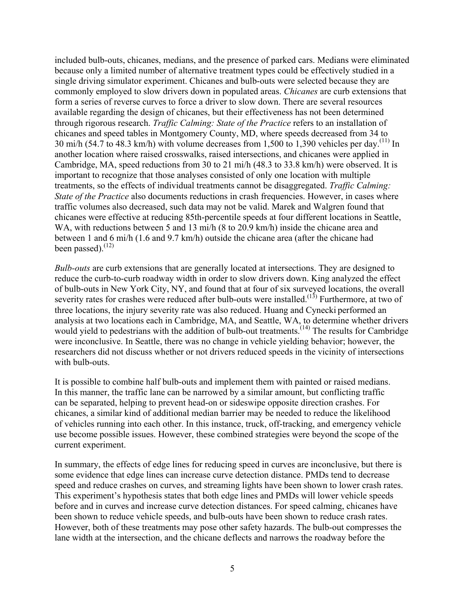included bulb-outs, chicanes, medians, and the presence of parked cars. Medians were eliminated because only a limited number of alternative treatment types could be effectively studied in a single driving simulator experiment. Chicanes and bulb-outs were selected because they are commonly employed to slow drivers down in populated areas. *Chicanes* are curb extensions that form a series of reverse curves to force a driver to slow down. There are several resources available regarding the design of chicanes, but their effectiveness has not been determined through rigorous research. *Traffic Calming: State of the Practice* refers to an installation of chicanes and speed tables in Montgomery County, MD, where speeds decreased from 34 to 30 mi/h (54.7 to 48.3 km/h) with volume decreases from 1,500 to 1,390 vehicles per day.<sup>(11)</sup> In another location where raised crosswalks, raised intersections, and chicanes were applied in Cambridge, MA, speed reductions from 30 to 21 mi/h (48.3 to 33.8 km/h) were observed. It is important to recognize that those analyses consisted of only one location with multiple treatments, so the effects of individual treatments cannot be disaggregated. *Traffic Calming: State of the Practice* also documents reductions in crash frequencies. However, in cases where traffic volumes also decreased, such data may not be valid. Marek and Walgren found that chicanes were effective at reducing 85th-percentile speeds at four different locations in Seattle, WA, with reductions between 5 and 13 mi/h (8 to 20.9 km/h) inside the chicane area and between 1 and 6 mi/h (1.6 and 9.7 km/h) outside the chicane area (after the chicane had been passed). $^{(12)}$ 

*Bulb-outs* are curb extensions that are generally located at intersections. They are designed to reduce the curb-to-curb roadway width in order to slow drivers down. King analyzed the effect of bulb-outs in New York City, NY, and found that at four of six surveyed locations, the overall severity rates for crashes were reduced after bulb-outs were installed.<sup> $(13)$ </sup> Furthermore, at two of three locations, the injury severity rate was also reduced. Huang and Cynecki performed an analysis at two locations each in Cambridge, MA, and Seattle, WA, to determine whether drivers would yield to pedestrians with the addition of bulb-out treatments.<sup> $(14)$ </sup> The results for Cambridge were inconclusive. In Seattle, there was no change in vehicle yielding behavior; however, the researchers did not discuss whether or not drivers reduced speeds in the vicinity of intersections with bulb-outs.

It is possible to combine half bulb-outs and implement them with painted or raised medians. In this manner, the traffic lane can be narrowed by a similar amount, but conflicting traffic can be separated, helping to prevent head-on or sideswipe opposite direction crashes. For chicanes, a similar kind of additional median barrier may be needed to reduce the likelihood of vehicles running into each other. In this instance, truck, off-tracking, and emergency vehicle use become possible issues. However, these combined strategies were beyond the scope of the current experiment.

In summary, the effects of edge lines for reducing speed in curves are inconclusive, but there is some evidence that edge lines can increase curve detection distance. PMDs tend to decrease speed and reduce crashes on curves, and streaming lights have been shown to lower crash rates. This experiment's hypothesis states that both edge lines and PMDs will lower vehicle speeds before and in curves and increase curve detection distances. For speed calming, chicanes have been shown to reduce vehicle speeds, and bulb-outs have been shown to reduce crash rates. However, both of these treatments may pose other safety hazards. The bulb-out compresses the lane width at the intersection, and the chicane deflects and narrows the roadway before the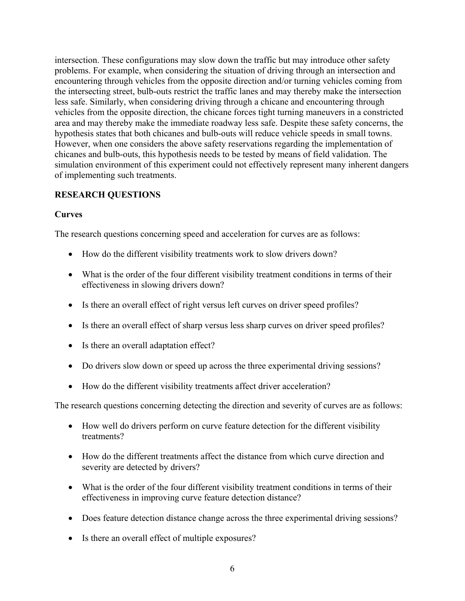intersection. These configurations may slow down the traffic but may introduce other safety problems. For example, when considering the situation of driving through an intersection and encountering through vehicles from the opposite direction and/or turning vehicles coming from the intersecting street, bulb-outs restrict the traffic lanes and may thereby make the intersection less safe. Similarly, when considering driving through a chicane and encountering through vehicles from the opposite direction, the chicane forces tight turning maneuvers in a constricted area and may thereby make the immediate roadway less safe. Despite these safety concerns, the hypothesis states that both chicanes and bulb-outs will reduce vehicle speeds in small towns. However, when one considers the above safety reservations regarding the implementation of chicanes and bulb-outs, this hypothesis needs to be tested by means of field validation. The simulation environment of this experiment could not effectively represent many inherent dangers of implementing such treatments.

# **RESEARCH QUESTIONS**

# **Curves**

The research questions concerning speed and acceleration for curves are as follows:

- How do the different visibility treatments work to slow drivers down?
- What is the order of the four different visibility treatment conditions in terms of their effectiveness in slowing drivers down?
- Is there an overall effect of right versus left curves on driver speed profiles?
- Is there an overall effect of sharp versus less sharp curves on driver speed profiles?
- Is there an overall adaptation effect?
- Do drivers slow down or speed up across the three experimental driving sessions?
- How do the different visibility treatments affect driver acceleration?

The research questions concerning detecting the direction and severity of curves are as follows:

- How well do drivers perform on curve feature detection for the different visibility treatments?
- How do the different treatments affect the distance from which curve direction and severity are detected by drivers?
- What is the order of the four different visibility treatment conditions in terms of their effectiveness in improving curve feature detection distance?
- Does feature detection distance change across the three experimental driving sessions?
- Is there an overall effect of multiple exposures?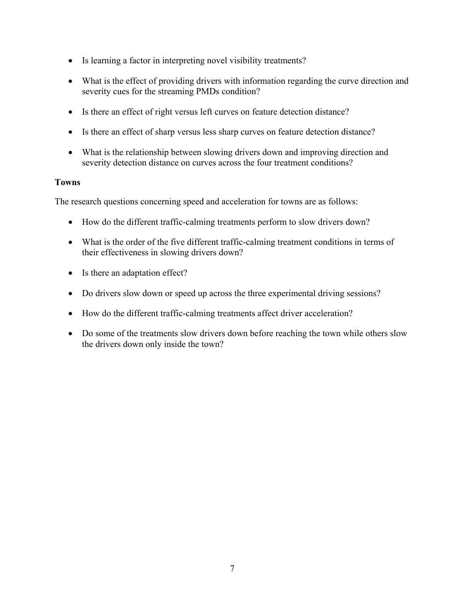- Is learning a factor in interpreting novel visibility treatments?
- What is the effect of providing drivers with information regarding the curve direction and severity cues for the streaming PMDs condition?
- Is there an effect of right versus left curves on feature detection distance?
- Is there an effect of sharp versus less sharp curves on feature detection distance?
- What is the relationship between slowing drivers down and improving direction and severity detection distance on curves across the four treatment conditions?

## **Towns**

The research questions concerning speed and acceleration for towns are as follows:

- How do the different traffic-calming treatments perform to slow drivers down?
- What is the order of the five different traffic-calming treatment conditions in terms of their effectiveness in slowing drivers down?
- Is there an adaptation effect?
- Do drivers slow down or speed up across the three experimental driving sessions?
- How do the different traffic-calming treatments affect driver acceleration?
- Do some of the treatments slow drivers down before reaching the town while others slow the drivers down only inside the town?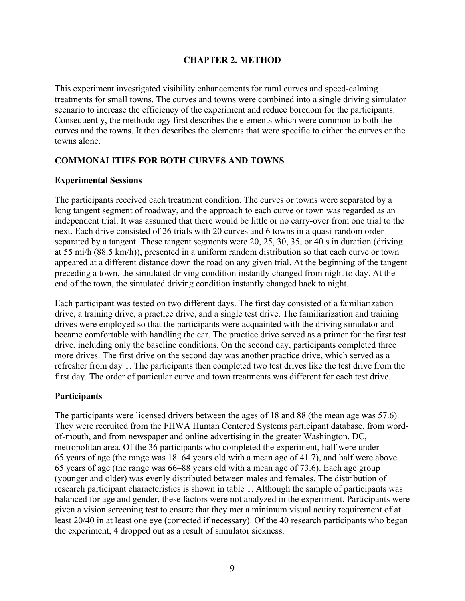### **CHAPTER 2. METHOD**

This experiment investigated visibility enhancements for rural curves and speed-calming treatments for small towns. The curves and towns were combined into a single driving simulator scenario to increase the efficiency of the experiment and reduce boredom for the participants. Consequently, the methodology first describes the elements which were common to both the curves and the towns. It then describes the elements that were specific to either the curves or the towns alone.

## **COMMONALITIES FOR BOTH CURVES AND TOWNS**

#### **Experimental Sessions**

The participants received each treatment condition. The curves or towns were separated by a long tangent segment of roadway, and the approach to each curve or town was regarded as an independent trial. It was assumed that there would be little or no carry-over from one trial to the next. Each drive consisted of 26 trials with 20 curves and 6 towns in a quasi-random order separated by a tangent. These tangent segments were 20, 25, 30, 35, or 40 s in duration (driving at 55 mi/h (88.5 km/h)), presented in a uniform random distribution so that each curve or town appeared at a different distance down the road on any given trial. At the beginning of the tangent preceding a town, the simulated driving condition instantly changed from night to day. At the end of the town, the simulated driving condition instantly changed back to night.

Each participant was tested on two different days. The first day consisted of a familiarization drive, a training drive, a practice drive, and a single test drive. The familiarization and training drives were employed so that the participants were acquainted with the driving simulator and became comfortable with handling the car. The practice drive served as a primer for the first test drive, including only the baseline conditions. On the second day, participants completed three more drives. The first drive on the second day was another practice drive, which served as a refresher from day 1. The participants then completed two test drives like the test drive from the first day. The order of particular curve and town treatments was different for each test drive.

## **Participants**

The participants were licensed drivers between the ages of 18 and 88 (the mean age was 57.6). They were recruited from the FHWA Human Centered Systems participant database, from wordof-mouth, and from newspaper and online advertising in the greater Washington, DC, metropolitan area. Of the 36 participants who completed the experiment, half were under 65 years of age (the range was 18–64 years old with a mean age of 41.7), and half were above 65 years of age (the range was 66–88 years old with a mean age of 73.6). Each age group (younger and older) was evenly distributed between males and females. The distribution of research participant characteristics is shown in table 1. Although the sample of participants was balanced for age and gender, these factors were not analyzed in the experiment. Participants were given a vision screening test to ensure that they met a minimum visual acuity requirement of at least 20/40 in at least one eye (corrected if necessary). Of the 40 research participants who began the experiment, 4 dropped out as a result of simulator sickness.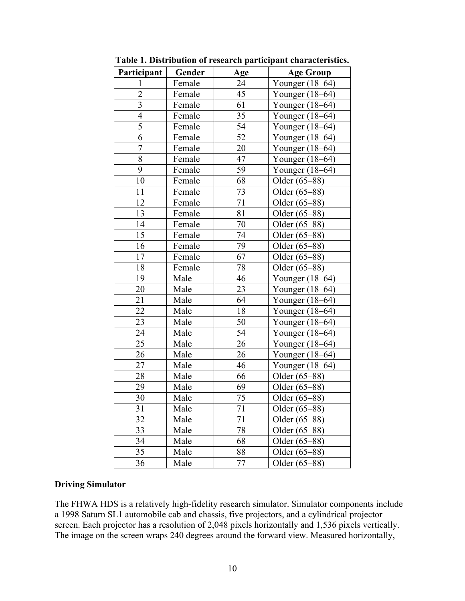| Participant    | Gender | Age    | <b>Age Group</b>  |  |
|----------------|--------|--------|-------------------|--|
| $\mathbf{1}$   | Female | 24     | Younger (18–64)   |  |
| $\overline{2}$ | Female | 45     | Younger (18–64)   |  |
| 3              | Female | 61     | Younger $(18–64)$ |  |
| $\overline{4}$ | Female | 35     | Younger $(18–64)$ |  |
| 5              | Female | 54     | Younger $(18–64)$ |  |
| 6              | Female | 52     | Younger (18-64)   |  |
| $\overline{7}$ | Female | 20     | Younger (18–64)   |  |
| $\overline{8}$ | Female | 47     | Younger (18-64)   |  |
| 9              | Female | 59     | Younger $(18-64)$ |  |
| 10             | Female | 68     | Older (65-88)     |  |
| 11             | Female | 73     | Older (65–88)     |  |
| 12             | Female | 71     | Older (65–88)     |  |
| 13             | Female | 81     | Older (65-88)     |  |
| 14             | Female | 70     | Older (65-88)     |  |
| 15             | Female | 74     | Older (65–88)     |  |
| 16             | Female | 79     | Older (65–88)     |  |
| 17             | Female | 67     | Older (65–88)     |  |
| 18             | Female | $78\,$ | Older (65–88)     |  |
| 19             | Male   | 46     | Younger (18-64)   |  |
| 20             | Male   | 23     | Younger (18-64)   |  |
| 21             | Male   | 64     | Younger (18–64)   |  |
| 22             | Male   | 18     | Younger (18–64)   |  |
| 23             | Male   | 50     | Younger (18-64)   |  |
| 24             | Male   | 54     | Younger (18–64)   |  |
| 25             | Male   | 26     | Younger (18–64)   |  |
| 26             | Male   | 26     | Younger (18-64)   |  |
| 27             | Male   | 46     | Younger (18-64)   |  |
| 28             | Male   | 66     | Older (65-88)     |  |
| 29             | Male   | 69     | Older (65–88)     |  |
| 30             | Male   | 75     | Older (65–88)     |  |
| 31             | Male   | 71     | Older (65–88)     |  |
| 32             | Male   | 71     | Older (65–88)     |  |
| 33             | Male   | 78     | Older (65–88)     |  |
| 34             | Male   | 68     | Older (65–88)     |  |
| 35             | Male   | 88     | Older (65–88)     |  |
| 36             | Male   | 77     | Older (65–88)     |  |

**Table 1. Distribution of research participant characteristics.** 

#### **Driving Simulator**

The FHWA HDS is a relatively high-fidelity research simulator. Simulator components include a 1998 Saturn SL1 automobile cab and chassis, five projectors, and a cylindrical projector screen. Each projector has a resolution of 2,048 pixels horizontally and 1,536 pixels vertically. The image on the screen wraps 240 degrees around the forward view. Measured horizontally,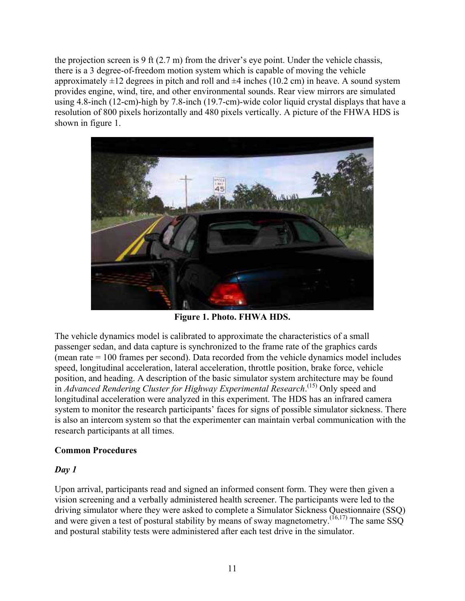the projection screen is 9 ft (2.7 m) from the driver's eye point. Under the vehicle chassis, there is a 3 degree-of-freedom motion system which is capable of moving the vehicle approximately  $\pm 12$  degrees in pitch and roll and  $\pm 4$  inches (10.2 cm) in heave. A sound system provides engine, wind, tire, and other environmental sounds. Rear view mirrors are simulated using 4.8-inch (12-cm)-high by 7.8-inch (19.7-cm)-wide color liquid crystal displays that have a resolution of 800 pixels horizontally and 480 pixels vertically. A picture of the FHWA HDS is shown in figure 1.



**Figure 1. Photo. FHWA HDS.** 

The vehicle dynamics model is calibrated to approximate the characteristics of a small passenger sedan, and data capture is synchronized to the frame rate of the graphics cards (mean rate = 100 frames per second). Data recorded from the vehicle dynamics model includes speed, longitudinal acceleration, lateral acceleration, throttle position, brake force, vehicle position, and heading. A description of the basic simulator system architecture may be found in *Advanced Rendering Cluster for Highway Experimental Research*.<sup>(15)</sup> Only speed and longitudinal acceleration were analyzed in this experiment. The HDS has an infrared camera system to monitor the research participants' faces for signs of possible simulator sickness. There is also an intercom system so that the experimenter can maintain verbal communication with the research participants at all times.

## **Common Procedures**

## *Day 1*

Upon arrival, participants read and signed an informed consent form. They were then given a vision screening and a verbally administered health screener. The participants were led to the driving simulator where they were asked to complete a Simulator Sickness Questionnaire (SSQ) and were given a test of postural stability by means of sway magnetometry.<sup>(16,17)</sup> The same SSQ and postural stability tests were administered after each test drive in the simulator.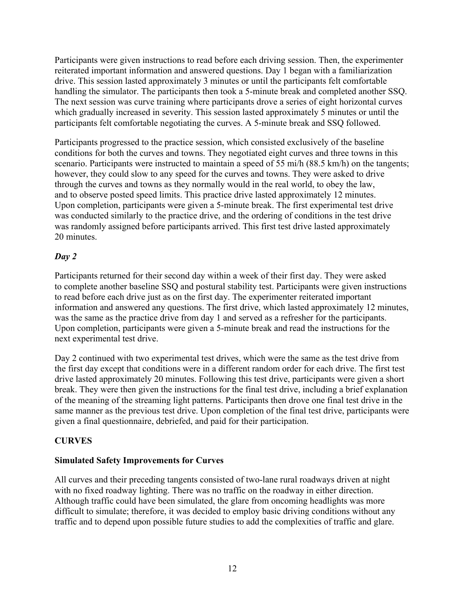Participants were given instructions to read before each driving session. Then, the experimenter reiterated important information and answered questions. Day 1 began with a familiarization drive. This session lasted approximately 3 minutes or until the participants felt comfortable handling the simulator. The participants then took a 5-minute break and completed another SSQ. The next session was curve training where participants drove a series of eight horizontal curves which gradually increased in severity. This session lasted approximately 5 minutes or until the participants felt comfortable negotiating the curves. A 5-minute break and SSQ followed.

Participants progressed to the practice session, which consisted exclusively of the baseline conditions for both the curves and towns. They negotiated eight curves and three towns in this scenario. Participants were instructed to maintain a speed of 55 mi/h (88.5 km/h) on the tangents; however, they could slow to any speed for the curves and towns. They were asked to drive through the curves and towns as they normally would in the real world, to obey the law, and to observe posted speed limits. This practice drive lasted approximately 12 minutes. Upon completion, participants were given a 5-minute break. The first experimental test drive was conducted similarly to the practice drive, and the ordering of conditions in the test drive was randomly assigned before participants arrived. This first test drive lasted approximately 20 minutes.

# *Day 2*

Participants returned for their second day within a week of their first day. They were asked to complete another baseline SSQ and postural stability test. Participants were given instructions to read before each drive just as on the first day. The experimenter reiterated important information and answered any questions. The first drive, which lasted approximately 12 minutes, was the same as the practice drive from day 1 and served as a refresher for the participants. Upon completion, participants were given a 5-minute break and read the instructions for the next experimental test drive.

Day 2 continued with two experimental test drives, which were the same as the test drive from the first day except that conditions were in a different random order for each drive. The first test drive lasted approximately 20 minutes. Following this test drive, participants were given a short break. They were then given the instructions for the final test drive, including a brief explanation of the meaning of the streaming light patterns. Participants then drove one final test drive in the same manner as the previous test drive. Upon completion of the final test drive, participants were given a final questionnaire, debriefed, and paid for their participation.

## **CURVES**

## **Simulated Safety Improvements for Curves**

All curves and their preceding tangents consisted of two-lane rural roadways driven at night with no fixed roadway lighting. There was no traffic on the roadway in either direction. Although traffic could have been simulated, the glare from oncoming headlights was more difficult to simulate; therefore, it was decided to employ basic driving conditions without any traffic and to depend upon possible future studies to add the complexities of traffic and glare.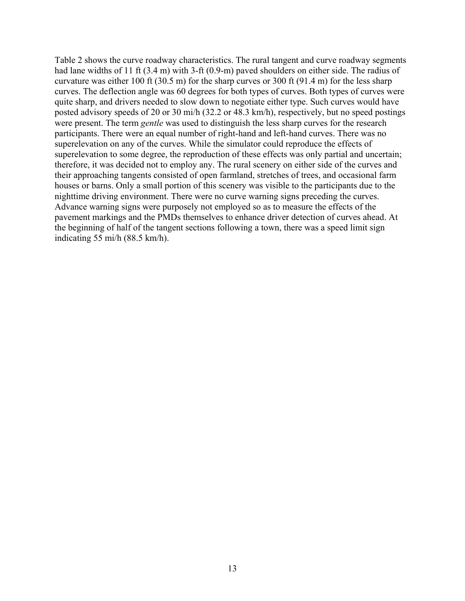Table 2 shows the curve roadway characteristics. The rural tangent and curve roadway segments had lane widths of 11 ft (3.4 m) with 3-ft (0.9-m) paved shoulders on either side. The radius of curvature was either 100 ft (30.5 m) for the sharp curves or 300 ft (91.4 m) for the less sharp curves. The deflection angle was 60 degrees for both types of curves. Both types of curves were quite sharp, and drivers needed to slow down to negotiate either type. Such curves would have posted advisory speeds of 20 or 30 mi/h (32.2 or 48.3 km/h), respectively, but no speed postings were present. The term *gentle* was used to distinguish the less sharp curves for the research participants. There were an equal number of right-hand and left-hand curves. There was no superelevation on any of the curves. While the simulator could reproduce the effects of superelevation to some degree, the reproduction of these effects was only partial and uncertain; therefore, it was decided not to employ any. The rural scenery on either side of the curves and their approaching tangents consisted of open farmland, stretches of trees, and occasional farm houses or barns. Only a small portion of this scenery was visible to the participants due to the nighttime driving environment. There were no curve warning signs preceding the curves. Advance warning signs were purposely not employed so as to measure the effects of the pavement markings and the PMDs themselves to enhance driver detection of curves ahead. At the beginning of half of the tangent sections following a town, there was a speed limit sign indicating 55 mi/h (88.5 km/h).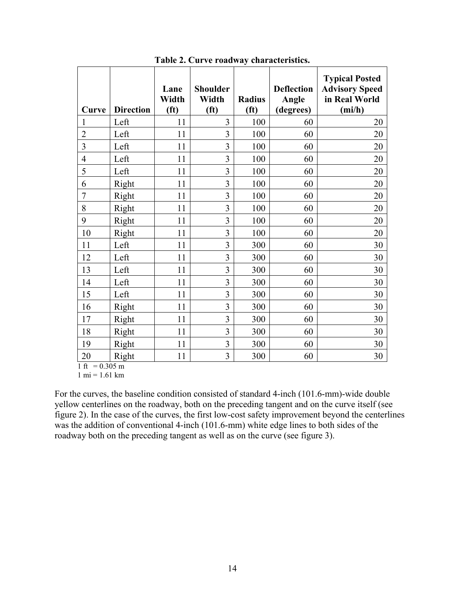| Curve            | <b>Direction</b> | Lane<br>Width<br>(f <sup>t</sup> ) | <b>Shoulder</b><br>Width<br>(f <sup>t</sup> ) | <b>Radius</b><br>(f <sup>t</sup> ) | <b>Deflection</b><br>Angle<br>(degrees) | <b>Typical Posted</b><br><b>Advisory Speed</b><br>in Real World<br>(mi/h) |
|------------------|------------------|------------------------------------|-----------------------------------------------|------------------------------------|-----------------------------------------|---------------------------------------------------------------------------|
|                  | Left             | 11                                 | 3                                             | 100                                | 60                                      | 20                                                                        |
| $\overline{2}$   | Left             | 11                                 | 3                                             | 100                                | 60                                      | 20                                                                        |
| 3                | Left             | 11                                 | $\overline{3}$                                | 100                                | 60                                      | 20                                                                        |
| 4                | Left             | 11                                 | 3                                             | 100                                | 60                                      | 20                                                                        |
| 5                | Left             | 11                                 | $\overline{\mathbf{3}}$                       | 100                                | 60                                      | 20                                                                        |
| 6                | Right            | 11                                 | 3                                             | 100                                | 60                                      | 20                                                                        |
| $\overline{7}$   | Right            | 11                                 | 3                                             | 100                                | 60                                      | 20                                                                        |
| 8                | Right            | 11                                 | 3                                             | 100                                | 60                                      | 20                                                                        |
| 9                | Right            | 11                                 | $\overline{\mathbf{3}}$                       | 100                                | 60                                      | 20                                                                        |
| 10               | Right            | 11                                 | $\overline{\mathbf{3}}$                       | 100                                | 60                                      | 20                                                                        |
| 11               | Left             | 11                                 | 3                                             | 300                                | 60                                      | 30                                                                        |
| 12               | Left             | 11                                 | 3                                             | 300                                | 60                                      | 30                                                                        |
| 13               | Left             | 11                                 | 3                                             | 300                                | 60                                      | 30                                                                        |
| 14               | Left             | 11                                 | $\overline{3}$                                | 300                                | 60                                      | 30                                                                        |
| 15               | Left             | 11                                 | $\overline{3}$                                | 300                                | 60                                      | 30                                                                        |
| 16               | Right            | 11                                 | 3                                             | 300                                | 60                                      | 30                                                                        |
| 17               | Right            | 11                                 | 3                                             | 300                                | 60                                      | 30                                                                        |
| 18               | Right            | 11                                 | 3                                             | 300                                | 60                                      | 30                                                                        |
| 19               | Right            | 11                                 | $\overline{3}$                                | 300                                | 60                                      | 30                                                                        |
| 20<br>$1 \alpha$ | Right<br>0.205   | 11                                 | 3                                             | 300                                | 60                                      | 30                                                                        |

**Table 2. Curve roadway characteristics.** 

1 ft =  $0.305$  m

 $1 \text{ mi} = 1.61 \text{ km}$ 

For the curves, the baseline condition consisted of standard 4-inch (101.6-mm)-wide double yellow centerlines on the roadway, both on the preceding tangent and on the curve itself (see figure 2). In the case of the curves, the first low-cost safety improvement beyond the centerlines was the addition of conventional 4-inch (101.6-mm) white edge lines to both sides of the roadway both on the preceding tangent as well as on the curve (see figure 3).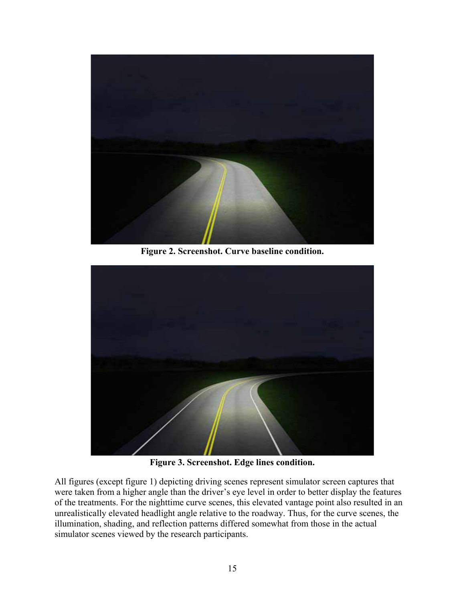

**Figure 2. Screenshot. Curve baseline condition.** 



**Figure 3. Screenshot. Edge lines condition.** 

All figures (except figure 1) depicting driving scenes represent simulator screen captures that were taken from a higher angle than the driver's eye level in order to better display the features of the treatments. For the nighttime curve scenes, this elevated vantage point also resulted in an unrealistically elevated headlight angle relative to the roadway. Thus, for the curve scenes, the illumination, shading, and reflection patterns differed somewhat from those in the actual simulator scenes viewed by the research participants.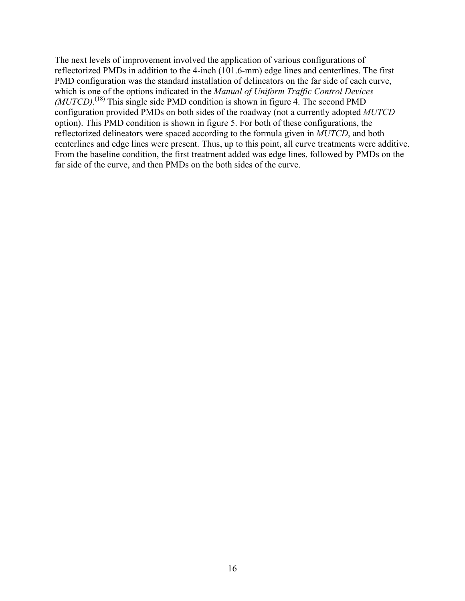The next levels of improvement involved the application of various configurations of reflectorized PMDs in addition to the 4-inch (101.6-mm) edge lines and centerlines. The first PMD configuration was the standard installation of delineators on the far side of each curve, which is one of the options indicated in the *Manual of Uniform Traffic Control Devices (MUTCD)*. (18) This single side PMD condition is shown in figure 4. The second PMD configuration provided PMDs on both sides of the roadway (not a currently adopted *MUTCD* option). This PMD condition is shown in figure 5. For both of these configurations, the reflectorized delineators were spaced according to the formula given in *MUTCD*, and both centerlines and edge lines were present. Thus, up to this point, all curve treatments were additive. From the baseline condition, the first treatment added was edge lines, followed by PMDs on the far side of the curve, and then PMDs on the both sides of the curve.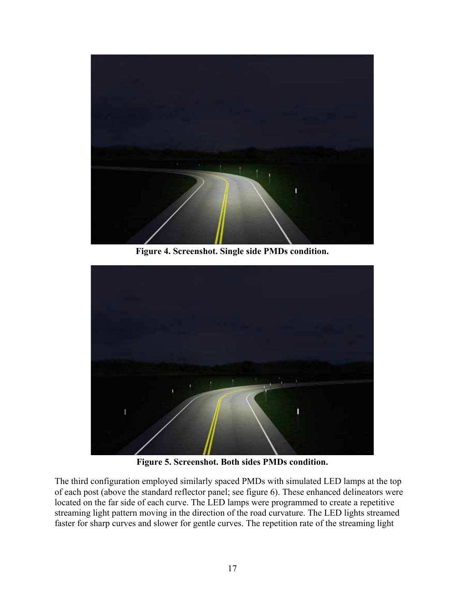

**Figure 4. Screenshot. Single side PMDs condition.** 



**Figure 5. Screenshot. Both sides PMDs condition.** 

The third configuration employed similarly spaced PMDs with simulated LED lamps at the top of each post (above the standard reflector panel; see figure 6). These enhanced delineators were located on the far side of each curve. The LED lamps were programmed to create a repetitive streaming light pattern moving in the direction of the road curvature. The LED lights streamed faster for sharp curves and slower for gentle curves. The repetition rate of the streaming light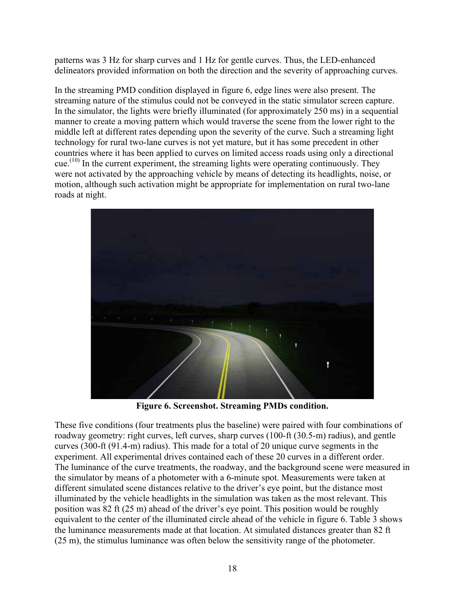patterns was 3 Hz for sharp curves and 1 Hz for gentle curves. Thus, the LED-enhanced delineators provided information on both the direction and the severity of approaching curves.

In the streaming PMD condition displayed in figure 6, edge lines were also present. The streaming nature of the stimulus could not be conveyed in the static simulator screen capture. In the simulator, the lights were briefly illuminated (for approximately 250 ms) in a sequential manner to create a moving pattern which would traverse the scene from the lower right to the middle left at different rates depending upon the severity of the curve. Such a streaming light technology for rural two-lane curves is not yet mature, but it has some precedent in other countries where it has been applied to curves on limited access roads using only a directional cue.<sup> $(10)$ </sup> In the current experiment, the streaming lights were operating continuously. They were not activated by the approaching vehicle by means of detecting its headlights, noise, or motion, although such activation might be appropriate for implementation on rural two-lane roads at night.



**Figure 6. Screenshot. Streaming PMDs condition.** 

These five conditions (four treatments plus the baseline) were paired with four combinations of roadway geometry: right curves, left curves, sharp curves (100-ft (30.5-m) radius), and gentle curves (300-ft (91.4-m) radius). This made for a total of 20 unique curve segments in the experiment. All experimental drives contained each of these 20 curves in a different order. The luminance of the curve treatments, the roadway, and the background scene were measured in the simulator by means of a photometer with a 6-minute spot. Measurements were taken at different simulated scene distances relative to the driver's eye point, but the distance most illuminated by the vehicle headlights in the simulation was taken as the most relevant. This position was 82 ft (25 m) ahead of the driver's eye point. This position would be roughly equivalent to the center of the illuminated circle ahead of the vehicle in figure 6. Table 3 shows the luminance measurements made at that location. At simulated distances greater than 82 ft (25 m), the stimulus luminance was often below the sensitivity range of the photometer.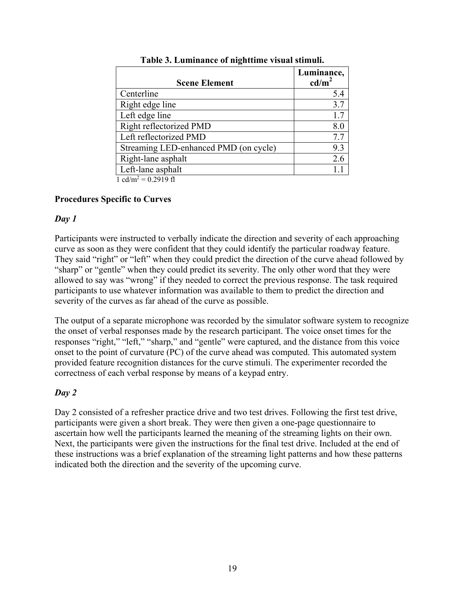| <b>Scene Element</b>                                     | Luminance,<br>$\text{cd/m}^2$ |
|----------------------------------------------------------|-------------------------------|
| Centerline                                               | 5.4                           |
| Right edge line                                          | 3.7                           |
| Left edge line                                           | 1.7                           |
| Right reflectorized PMD                                  | 8.0                           |
| Left reflectorized PMD                                   | 7.7                           |
| Streaming LED-enhanced PMD (on cycle)                    | 9.3                           |
| Right-lane asphalt                                       | 2.6                           |
| Left-lane asphalt                                        |                               |
| $1 \quad 11 \quad 2 \quad \alpha \quad 221 \quad \alpha$ |                               |

|  | Table 3. Luminance of nighttime visual stimuli. |  |
|--|-------------------------------------------------|--|
|  |                                                 |  |

 $1$  cd/m<sup>2</sup> = 0.2919 fl

#### **Procedures Specific to Curves**

#### *Day 1*

Participants were instructed to verbally indicate the direction and severity of each approaching curve as soon as they were confident that they could identify the particular roadway feature. They said "right" or "left" when they could predict the direction of the curve ahead followed by "sharp" or "gentle" when they could predict its severity. The only other word that they were allowed to say was "wrong" if they needed to correct the previous response. The task required participants to use whatever information was available to them to predict the direction and severity of the curves as far ahead of the curve as possible.

The output of a separate microphone was recorded by the simulator software system to recognize the onset of verbal responses made by the research participant. The voice onset times for the responses "right," "left," "sharp," and "gentle" were captured, and the distance from this voice onset to the point of curvature (PC) of the curve ahead was computed. This automated system provided feature recognition distances for the curve stimuli. The experimenter recorded the correctness of each verbal response by means of a keypad entry.

## *Day 2*

Day 2 consisted of a refresher practice drive and two test drives. Following the first test drive, participants were given a short break. They were then given a one-page questionnaire to ascertain how well the participants learned the meaning of the streaming lights on their own. Next, the participants were given the instructions for the final test drive. Included at the end of these instructions was a brief explanation of the streaming light patterns and how these patterns indicated both the direction and the severity of the upcoming curve.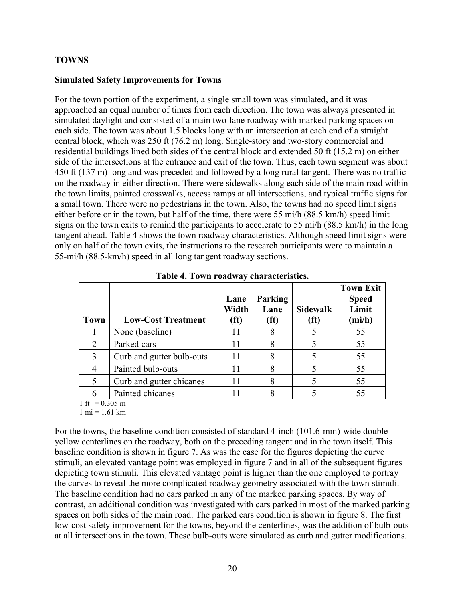### **TOWNS**

#### **Simulated Safety Improvements for Towns**

For the town portion of the experiment, a single small town was simulated, and it was approached an equal number of times from each direction. The town was always presented in simulated daylight and consisted of a main two-lane roadway with marked parking spaces on each side. The town was about 1.5 blocks long with an intersection at each end of a straight central block, which was 250 ft (76.2 m) long. Single-story and two-story commercial and residential buildings lined both sides of the central block and extended 50 ft (15.2 m) on either side of the intersections at the entrance and exit of the town. Thus, each town segment was about 450 ft (137 m) long and was preceded and followed by a long rural tangent. There was no traffic on the roadway in either direction. There were sidewalks along each side of the main road within the town limits, painted crosswalks, access ramps at all intersections, and typical traffic signs for a small town. There were no pedestrians in the town. Also, the towns had no speed limit signs either before or in the town, but half of the time, there were 55 mi/h (88.5 km/h) speed limit signs on the town exits to remind the participants to accelerate to 55 mi/h (88.5 km/h) in the long tangent ahead. Table 4 shows the town roadway characteristics. Although speed limit signs were only on half of the town exits, the instructions to the research participants were to maintain a 55-mi/h (88.5-km/h) speed in all long tangent roadway sections.

| <b>Town</b> | <b>Low-Cost Treatment</b> | Lane<br>Width<br>(ft) | Parking<br>Lane<br>(ft) | <b>Sidewalk</b><br>(ft) | <b>Town Exit</b><br><b>Speed</b><br>Limit<br>(mi/h) |
|-------------|---------------------------|-----------------------|-------------------------|-------------------------|-----------------------------------------------------|
|             | None (baseline)           | 11                    | 8                       |                         | 55                                                  |
| 2           | Parked cars               | 11                    | 8                       |                         | 55                                                  |
| 3           | Curb and gutter bulb-outs | 11                    | 8                       |                         | 55                                                  |
|             | Painted bulb-outs         | 11                    | 8                       |                         | 55                                                  |
|             | Curb and gutter chicanes  | 11                    | 8                       |                         | 55                                                  |
| 6           | Painted chicanes          |                       |                         |                         | 55                                                  |

**Table 4. Town roadway characteristics.** 

 $1 \text{ ft} = 0.305 \text{ m}$ 

 $1 \text{ mi} = 1.61 \text{ km}$ 

For the towns, the baseline condition consisted of standard 4-inch (101.6-mm)-wide double yellow centerlines on the roadway, both on the preceding tangent and in the town itself. This baseline condition is shown in figure 7. As was the case for the figures depicting the curve stimuli, an elevated vantage point was employed in figure 7 and in all of the subsequent figures depicting town stimuli. This elevated vantage point is higher than the one employed to portray the curves to reveal the more complicated roadway geometry associated with the town stimuli. The baseline condition had no cars parked in any of the marked parking spaces. By way of contrast, an additional condition was investigated with cars parked in most of the marked parking spaces on both sides of the main road. The parked cars condition is shown in figure 8. The first low-cost safety improvement for the towns, beyond the centerlines, was the addition of bulb-outs at all intersections in the town. These bulb-outs were simulated as curb and gutter modifications.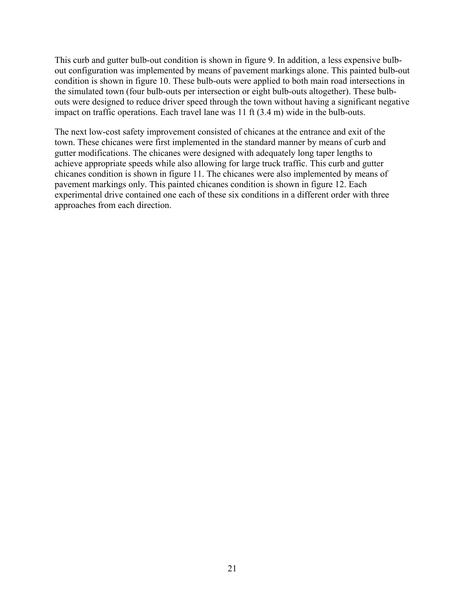This curb and gutter bulb-out condition is shown in figure 9. In addition, a less expensive bulbout configuration was implemented by means of pavement markings alone. This painted bulb-out condition is shown in figure 10. These bulb-outs were applied to both main road intersections in the simulated town (four bulb-outs per intersection or eight bulb-outs altogether). These bulbouts were designed to reduce driver speed through the town without having a significant negative impact on traffic operations. Each travel lane was 11 ft (3.4 m) wide in the bulb-outs.

The next low-cost safety improvement consisted of chicanes at the entrance and exit of the town. These chicanes were first implemented in the standard manner by means of curb and gutter modifications. The chicanes were designed with adequately long taper lengths to achieve appropriate speeds while also allowing for large truck traffic. This curb and gutter chicanes condition is shown in figure 11. The chicanes were also implemented by means of pavement markings only. This painted chicanes condition is shown in figure 12. Each experimental drive contained one each of these six conditions in a different order with three approaches from each direction.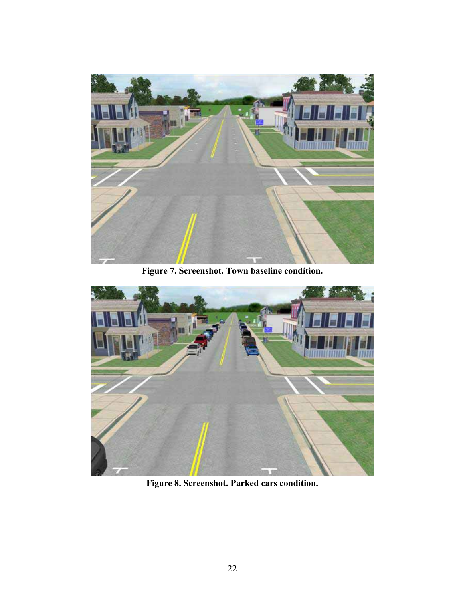

**Figure 7. Screenshot. Town baseline condition.** 



**Figure 8. Screenshot. Parked cars condition.**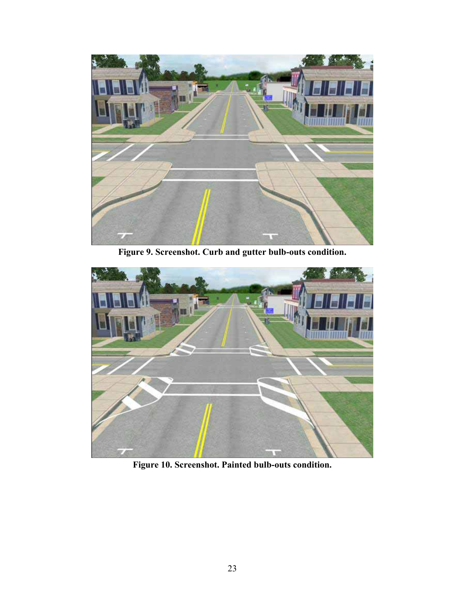

**Figure 9. Screenshot. Curb and gutter bulb-outs condition.** 



**Figure 10. Screenshot. Painted bulb-outs condition.**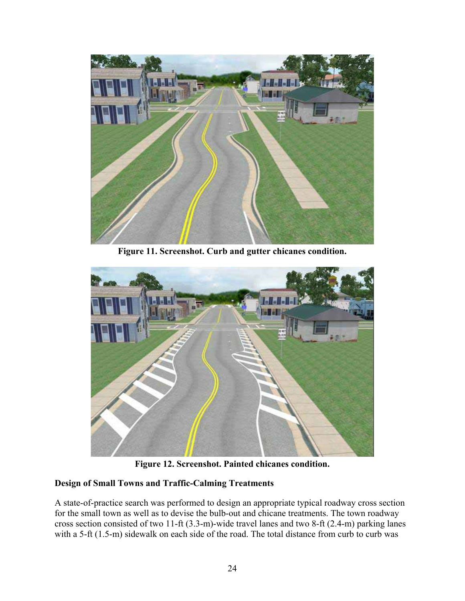

**Figure 11. Screenshot. Curb and gutter chicanes condition.** 



**Figure 12. Screenshot. Painted chicanes condition.** 

## **Design of Small Towns and Traffic-Calming Treatments**

A state-of-practice search was performed to design an appropriate typical roadway cross section for the small town as well as to devise the bulb-out and chicane treatments. The town roadway cross section consisted of two 11-ft (3.3-m)-wide travel lanes and two 8-ft (2.4-m) parking lanes with a 5-ft (1.5-m) sidewalk on each side of the road. The total distance from curb to curb was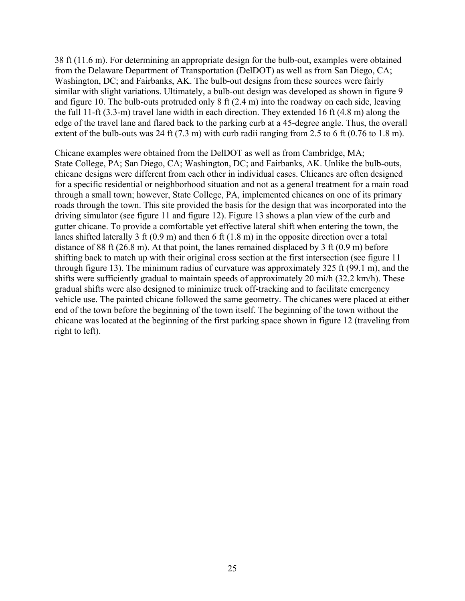38 ft (11.6 m). For determining an appropriate design for the bulb-out, examples were obtained from the Delaware Department of Transportation (DelDOT) as well as from San Diego, CA; Washington, DC; and Fairbanks, AK. The bulb-out designs from these sources were fairly similar with slight variations. Ultimately, a bulb-out design was developed as shown in figure 9 and figure 10. The bulb-outs protruded only 8 ft (2.4 m) into the roadway on each side, leaving the full 11-ft (3.3-m) travel lane width in each direction. They extended 16 ft (4.8 m) along the edge of the travel lane and flared back to the parking curb at a 45-degree angle. Thus, the overall extent of the bulb-outs was 24 ft (7.3 m) with curb radii ranging from 2.5 to 6 ft (0.76 to 1.8 m).

Chicane examples were obtained from the DelDOT as well as from Cambridge, MA; State College, PA; San Diego, CA; Washington, DC; and Fairbanks, AK. Unlike the bulb-outs, chicane designs were different from each other in individual cases. Chicanes are often designed for a specific residential or neighborhood situation and not as a general treatment for a main road through a small town; however, State College, PA, implemented chicanes on one of its primary roads through the town. This site provided the basis for the design that was incorporated into the driving simulator (see figure 11 and figure 12). Figure 13 shows a plan view of the curb and gutter chicane. To provide a comfortable yet effective lateral shift when entering the town, the lanes shifted laterally 3 ft (0.9 m) and then 6 ft (1.8 m) in the opposite direction over a total distance of 88 ft (26.8 m). At that point, the lanes remained displaced by 3 ft (0.9 m) before shifting back to match up with their original cross section at the first intersection (see figure 11 through figure 13). The minimum radius of curvature was approximately 325 ft (99.1 m), and the shifts were sufficiently gradual to maintain speeds of approximately 20 mi/h (32.2 km/h). These gradual shifts were also designed to minimize truck off-tracking and to facilitate emergency vehicle use. The painted chicane followed the same geometry. The chicanes were placed at either end of the town before the beginning of the town itself. The beginning of the town without the chicane was located at the beginning of the first parking space shown in figure 12 (traveling from right to left).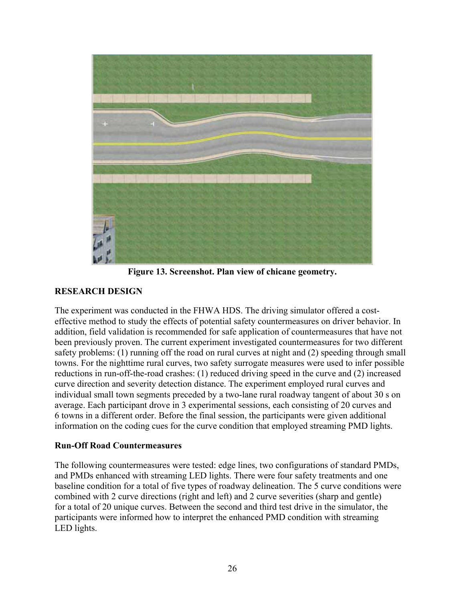

**Figure 13. Screenshot. Plan view of chicane geometry.** 

# **RESEARCH DESIGN**

The experiment was conducted in the FHWA HDS. The driving simulator offered a costeffective method to study the effects of potential safety countermeasures on driver behavior. In addition, field validation is recommended for safe application of countermeasures that have not been previously proven. The current experiment investigated countermeasures for two different safety problems: (1) running off the road on rural curves at night and (2) speeding through small towns. For the nighttime rural curves, two safety surrogate measures were used to infer possible reductions in run-off-the-road crashes: (1) reduced driving speed in the curve and (2) increased curve direction and severity detection distance. The experiment employed rural curves and individual small town segments preceded by a two-lane rural roadway tangent of about 30 s on average. Each participant drove in 3 experimental sessions, each consisting of 20 curves and 6 towns in a different order. Before the final session, the participants were given additional information on the coding cues for the curve condition that employed streaming PMD lights.

## **Run-Off Road Countermeasures**

The following countermeasures were tested: edge lines, two configurations of standard PMDs, and PMDs enhanced with streaming LED lights. There were four safety treatments and one baseline condition for a total of five types of roadway delineation. The 5 curve conditions were combined with 2 curve directions (right and left) and 2 curve severities (sharp and gentle) for a total of 20 unique curves. Between the second and third test drive in the simulator, the participants were informed how to interpret the enhanced PMD condition with streaming LED lights.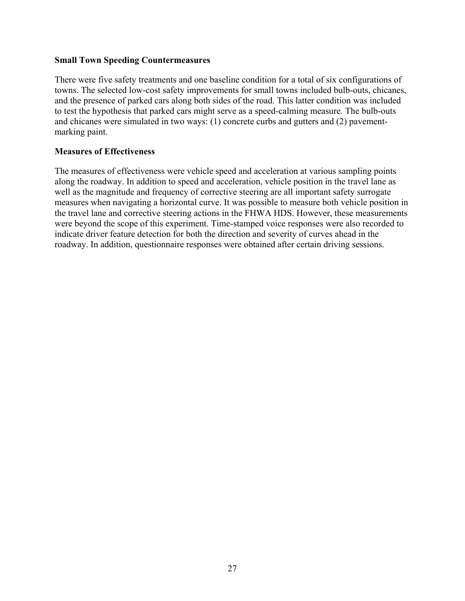#### **Small Town Speeding Countermeasures**

There were five safety treatments and one baseline condition for a total of six configurations of towns. The selected low-cost safety improvements for small towns included bulb-outs, chicanes, and the presence of parked cars along both sides of the road. This latter condition was included to test the hypothesis that parked cars might serve as a speed-calming measure. The bulb-outs and chicanes were simulated in two ways: (1) concrete curbs and gutters and (2) pavementmarking paint.

#### **Measures of Effectiveness**

The measures of effectiveness were vehicle speed and acceleration at various sampling points along the roadway. In addition to speed and acceleration, vehicle position in the travel lane as well as the magnitude and frequency of corrective steering are all important safety surrogate measures when navigating a horizontal curve. It was possible to measure both vehicle position in the travel lane and corrective steering actions in the FHWA HDS. However, these measurements were beyond the scope of this experiment. Time-stamped voice responses were also recorded to indicate driver feature detection for both the direction and severity of curves ahead in the roadway. In addition, questionnaire responses were obtained after certain driving sessions.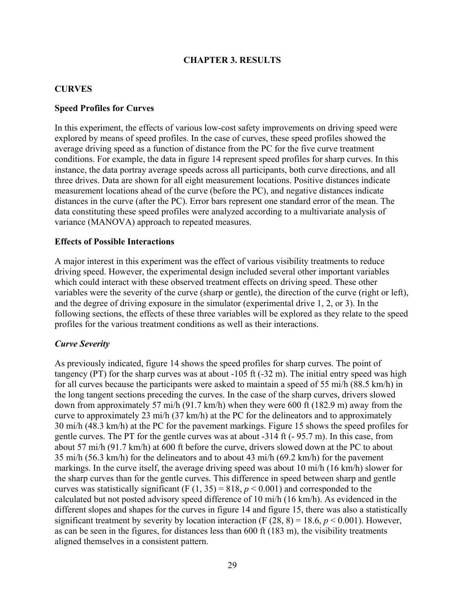### **CHAPTER 3. RESULTS**

#### **CURVES**

#### **Speed Profiles for Curves**

In this experiment, the effects of various low-cost safety improvements on driving speed were explored by means of speed profiles. In the case of curves, these speed profiles showed the average driving speed as a function of distance from the PC for the five curve treatment conditions. For example, the data in figure 14 represent speed profiles for sharp curves. In this instance, the data portray average speeds across all participants, both curve directions, and all three drives. Data are shown for all eight measurement locations. Positive distances indicate measurement locations ahead of the curve (before the PC), and negative distances indicate distances in the curve (after the PC). Error bars represent one standard error of the mean. The data constituting these speed profiles were analyzed according to a multivariate analysis of variance (MANOVA) approach to repeated measures.

#### **Effects of Possible Interactions**

A major interest in this experiment was the effect of various visibility treatments to reduce driving speed. However, the experimental design included several other important variables which could interact with these observed treatment effects on driving speed. These other variables were the severity of the curve (sharp or gentle), the direction of the curve (right or left), and the degree of driving exposure in the simulator (experimental drive 1, 2, or 3). In the following sections, the effects of these three variables will be explored as they relate to the speed profiles for the various treatment conditions as well as their interactions.

#### *Curve Severity*

As previously indicated, figure 14 shows the speed profiles for sharp curves. The point of tangency (PT) for the sharp curves was at about -105 ft (-32 m). The initial entry speed was high for all curves because the participants were asked to maintain a speed of 55 mi/h (88.5 km/h) in the long tangent sections preceding the curves. In the case of the sharp curves, drivers slowed down from approximately 57 mi/h (91.7 km/h) when they were 600 ft (182.9 m) away from the curve to approximately 23 mi/h (37 km/h) at the PC for the delineators and to approximately 30 mi/h (48.3 km/h) at the PC for the pavement markings. Figure 15 shows the speed profiles for gentle curves. The PT for the gentle curves was at about -314 ft (- 95.7 m). In this case, from about 57 mi/h (91.7 km/h) at 600 ft before the curve, drivers slowed down at the PC to about 35 mi/h (56.3 km/h) for the delineators and to about 43 mi/h (69.2 km/h) for the pavement markings. In the curve itself, the average driving speed was about 10 mi/h (16 km/h) slower for the sharp curves than for the gentle curves. This difference in speed between sharp and gentle curves was statistically significant (F  $(1, 35) = 818$ ,  $p < 0.001$ ) and corresponded to the calculated but not posted advisory speed difference of 10 mi/h (16 km/h). As evidenced in the different slopes and shapes for the curves in figure 14 and figure 15, there was also a statistically significant treatment by severity by location interaction (F  $(28, 8) = 18.6, p < 0.001$ ). However, as can be seen in the figures, for distances less than 600 ft (183 m), the visibility treatments aligned themselves in a consistent pattern.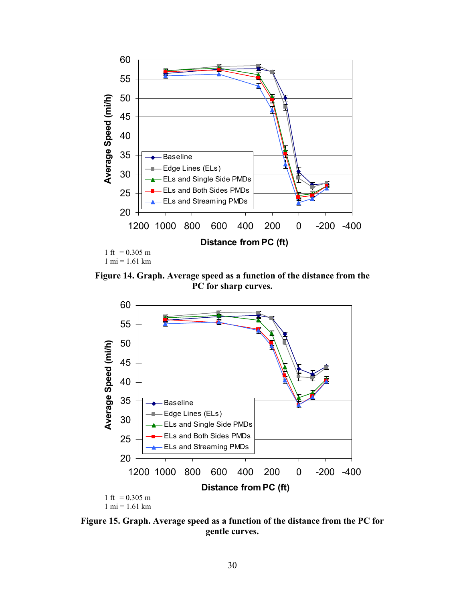

**Figure 14. Graph. Average speed as a function of the distance from the PC for sharp curves.** 



**Figure 15. Graph. Average speed as a function of the distance from the PC for gentle curves.**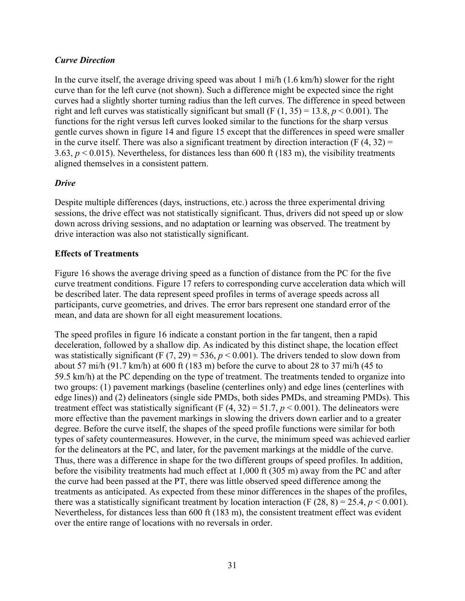# *Curve Direction*

In the curve itself, the average driving speed was about 1 mi/h (1.6 km/h) slower for the right curve than for the left curve (not shown). Such a difference might be expected since the right curves had a slightly shorter turning radius than the left curves. The difference in speed between right and left curves was statistically significant but small (F  $(1, 35) = 13.8$ ,  $p < 0.001$ ). The functions for the right versus left curves looked similar to the functions for the sharp versus gentle curves shown in figure 14 and figure 15 except that the differences in speed were smaller in the curve itself. There was also a significant treatment by direction interaction (F  $(4, 32)$ ) = 3.63, *p* < 0.015). Nevertheless, for distances less than 600 ft (183 m), the visibility treatments aligned themselves in a consistent pattern.

## *Drive*

Despite multiple differences (days, instructions, etc.) across the three experimental driving sessions, the drive effect was not statistically significant. Thus, drivers did not speed up or slow down across driving sessions, and no adaptation or learning was observed. The treatment by drive interaction was also not statistically significant.

## **Effects of Treatments**

Figure 16 shows the average driving speed as a function of distance from the PC for the five curve treatment conditions. Figure 17 refers to corresponding curve acceleration data which will be described later. The data represent speed profiles in terms of average speeds across all participants, curve geometries, and drives. The error bars represent one standard error of the mean, and data are shown for all eight measurement locations.

The speed profiles in figure 16 indicate a constant portion in the far tangent, then a rapid deceleration, followed by a shallow dip. As indicated by this distinct shape, the location effect was statistically significant (F  $(7, 29) = 536$ ,  $p < 0.001$ ). The drivers tended to slow down from about 57 mi/h (91.7 km/h) at 600 ft (183 m) before the curve to about 28 to 37 mi/h (45 to 59.5 km/h) at the PC depending on the type of treatment. The treatments tended to organize into two groups: (1) pavement markings (baseline (centerlines only) and edge lines (centerlines with edge lines)) and (2) delineators (single side PMDs, both sides PMDs, and streaming PMDs). This treatment effect was statistically significant (F  $(4, 32) = 51.7$ ,  $p < 0.001$ ). The delineators were more effective than the pavement markings in slowing the drivers down earlier and to a greater degree. Before the curve itself, the shapes of the speed profile functions were similar for both types of safety countermeasures. However, in the curve, the minimum speed was achieved earlier for the delineators at the PC, and later, for the pavement markings at the middle of the curve. Thus, there was a difference in shape for the two different groups of speed profiles. In addition, before the visibility treatments had much effect at 1,000 ft (305 m) away from the PC and after the curve had been passed at the PT, there was little observed speed difference among the treatments as anticipated. As expected from these minor differences in the shapes of the profiles, there was a statistically significant treatment by location interaction (F  $(28, 8) = 25.4, p < 0.001$ ). Nevertheless, for distances less than 600 ft (183 m), the consistent treatment effect was evident over the entire range of locations with no reversals in order.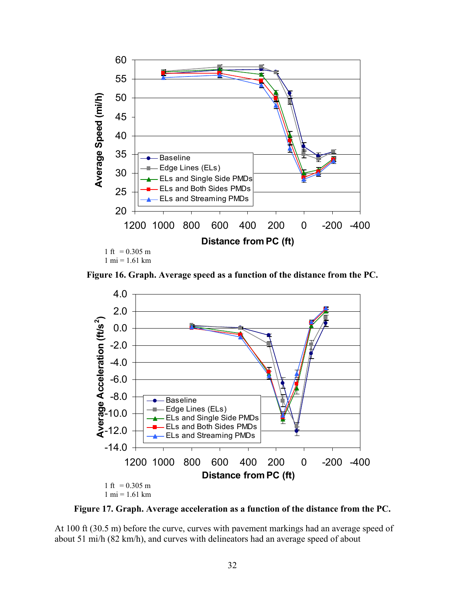

**Figure 16. Graph. Average speed as a function of the distance from the PC.** 



**Figure 17. Graph. Average acceleration as a function of the distance from the PC.** 

At 100 ft (30.5 m) before the curve, curves with pavement markings had an average speed of about 51 mi/h (82 km/h), and curves with delineators had an average speed of about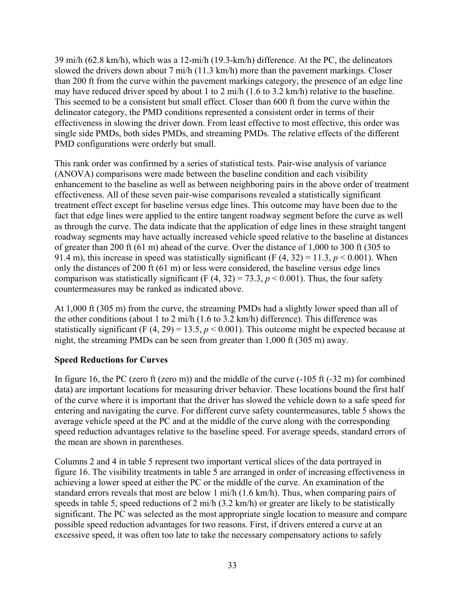39 mi/h (62.8 km/h), which was a 12-mi/h (19.3-km/h) difference. At the PC, the delineators slowed the drivers down about 7 mi/h (11.3 km/h) more than the pavement markings. Closer than 200 ft from the curve within the pavement markings category, the presence of an edge line may have reduced driver speed by about 1 to 2 mi/h (1.6 to 3.2 km/h) relative to the baseline. This seemed to be a consistent but small effect. Closer than 600 ft from the curve within the delineator category, the PMD conditions represented a consistent order in terms of their effectiveness in slowing the driver down. From least effective to most effective, this order was single side PMDs, both sides PMDs, and streaming PMDs. The relative effects of the different PMD configurations were orderly but small.

This rank order was confirmed by a series of statistical tests. Pair-wise analysis of variance (ANOVA) comparisons were made between the baseline condition and each visibility enhancement to the baseline as well as between neighboring pairs in the above order of treatment effectiveness. All of these seven pair-wise comparisons revealed a statistically significant treatment effect except for baseline versus edge lines. This outcome may have been due to the fact that edge lines were applied to the entire tangent roadway segment before the curve as well as through the curve. The data indicate that the application of edge lines in these straight tangent roadway segments may have actually increased vehicle speed relative to the baseline at distances of greater than 200 ft (61 m) ahead of the curve. Over the distance of 1,000 to 300 ft (305 to 91.4 m), this increase in speed was statistically significant (F  $(4, 32) = 11.3$ ,  $p < 0.001$ ). When only the distances of 200 ft (61 m) or less were considered, the baseline versus edge lines comparison was statistically significant (F  $(4, 32) = 73.3$ ,  $p < 0.001$ ). Thus, the four safety countermeasures may be ranked as indicated above.

At 1,000 ft (305 m) from the curve, the streaming PMDs had a slightly lower speed than all of the other conditions (about 1 to 2 mi/h (1.6 to 3.2 km/h) difference). This difference was statistically significant (F  $(4, 29) = 13.5$ ,  $p < 0.001$ ). This outcome might be expected because at night, the streaming PMDs can be seen from greater than 1,000 ft (305 m) away.

## **Speed Reductions for Curves**

In figure 16, the PC (zero ft (zero m)) and the middle of the curve  $(-105 \text{ ft} (-32 \text{ m})$  for combined data) are important locations for measuring driver behavior. These locations bound the first half of the curve where it is important that the driver has slowed the vehicle down to a safe speed for entering and navigating the curve. For different curve safety countermeasures, table 5 shows the average vehicle speed at the PC and at the middle of the curve along with the corresponding speed reduction advantages relative to the baseline speed. For average speeds, standard errors of the mean are shown in parentheses.

Columns 2 and 4 in table 5 represent two important vertical slices of the data portrayed in figure 16. The visibility treatments in table 5 are arranged in order of increasing effectiveness in achieving a lower speed at either the PC or the middle of the curve. An examination of the standard errors reveals that most are below 1 mi/h (1.6 km/h). Thus, when comparing pairs of speeds in table 5, speed reductions of 2 mi/h (3.2 km/h) or greater are likely to be statistically significant. The PC was selected as the most appropriate single location to measure and compare possible speed reduction advantages for two reasons. First, if drivers entered a curve at an excessive speed, it was often too late to take the necessary compensatory actions to safely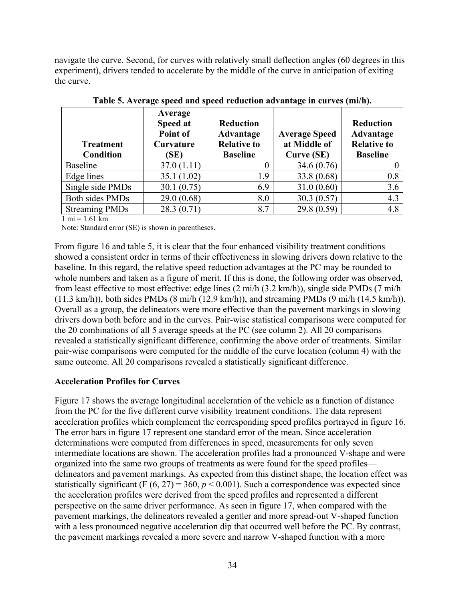navigate the curve. Second, for curves with relatively small deflection angles (60 degrees in this experiment), drivers tended to accelerate by the middle of the curve in anticipation of exiting the curve.

| <b>Treatment</b><br><b>Condition</b> | Average<br>Speed at<br>Point of<br>Curvature<br>(SE) | <b>Reduction</b><br>Advantage<br><b>Relative to</b><br><b>Baseline</b> | <b>Average Speed</b><br>at Middle of<br>Curve (SE) | <b>Reduction</b><br>Advantage<br><b>Relative to</b><br><b>Baseline</b> |
|--------------------------------------|------------------------------------------------------|------------------------------------------------------------------------|----------------------------------------------------|------------------------------------------------------------------------|
| <b>Baseline</b>                      | 37.0(1.11)                                           |                                                                        | 34.6 (0.76)                                        |                                                                        |
| Edge lines                           | 35.1(1.02)                                           | 1.9                                                                    | 33.8 (0.68)                                        | 0.8                                                                    |
| Single side PMDs                     | 30.1(0.75)                                           | 6.9                                                                    | 31.0(0.60)                                         | 3.6                                                                    |
| <b>Both sides PMDs</b>               | 29.0(0.68)                                           | 8.0                                                                    | 30.3(0.57)                                         | 4.3                                                                    |
| <b>Streaming PMDs</b>                | 28.3(0.71)                                           | 8.7                                                                    | 29.8(0.59)                                         | 4.8                                                                    |

**Table 5. Average speed and speed reduction advantage in curves (mi/h).** 

 $1 \text{ mi} = 1.61 \text{ km}$ 

Note: Standard error (SE) is shown in parentheses.

From figure 16 and table 5, it is clear that the four enhanced visibility treatment conditions showed a consistent order in terms of their effectiveness in slowing drivers down relative to the baseline. In this regard, the relative speed reduction advantages at the PC may be rounded to whole numbers and taken as a figure of merit. If this is done, the following order was observed, from least effective to most effective: edge lines (2 mi/h (3.2 km/h)), single side PMDs (7 mi/h  $(11.3 \text{ km/h})$ , both sides PMDs  $(8 \text{ mi/h} (12.9 \text{ km/h}))$ , and streaming PMDs  $(9 \text{ mi/h} (14.5 \text{ km/h}))$ . Overall as a group, the delineators were more effective than the pavement markings in slowing drivers down both before and in the curves. Pair-wise statistical comparisons were computed for the 20 combinations of all 5 average speeds at the PC (see column 2). All 20 comparisons revealed a statistically significant difference, confirming the above order of treatments. Similar pair-wise comparisons were computed for the middle of the curve location (column 4) with the same outcome. All 20 comparisons revealed a statistically significant difference.

## **Acceleration Profiles for Curves**

Figure 17 shows the average longitudinal acceleration of the vehicle as a function of distance from the PC for the five different curve visibility treatment conditions. The data represent acceleration profiles which complement the corresponding speed profiles portrayed in figure 16. The error bars in figure 17 represent one standard error of the mean. Since acceleration determinations were computed from differences in speed, measurements for only seven intermediate locations are shown. The acceleration profiles had a pronounced V-shape and were organized into the same two groups of treatments as were found for the speed profiles delineators and pavement markings. As expected from this distinct shape, the location effect was statistically significant (F  $(6, 27) = 360$ ,  $p < 0.001$ ). Such a correspondence was expected since the acceleration profiles were derived from the speed profiles and represented a different perspective on the same driver performance. As seen in figure 17, when compared with the pavement markings, the delineators revealed a gentler and more spread-out V-shaped function with a less pronounced negative acceleration dip that occurred well before the PC. By contrast, the pavement markings revealed a more severe and narrow V-shaped function with a more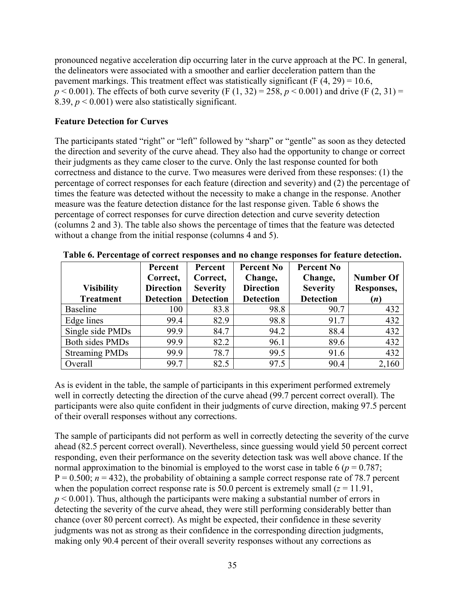pronounced negative acceleration dip occurring later in the curve approach at the PC. In general, the delineators were associated with a smoother and earlier deceleration pattern than the pavement markings. This treatment effect was statistically significant (F  $(4, 29) = 10.6$ ,  $p < 0.001$ ). The effects of both curve severity (F (1, 32) = 258,  $p < 0.001$ ) and drive (F (2, 31) = 8.39,  $p < 0.001$ ) were also statistically significant.

#### **Feature Detection for Curves**

The participants stated "right" or "left" followed by "sharp" or "gentle" as soon as they detected the direction and severity of the curve ahead. They also had the opportunity to change or correct their judgments as they came closer to the curve. Only the last response counted for both correctness and distance to the curve. Two measures were derived from these responses: (1) the percentage of correct responses for each feature (direction and severity) and (2) the percentage of times the feature was detected without the necessity to make a change in the response. Another measure was the feature detection distance for the last response given. Table 6 shows the percentage of correct responses for curve direction detection and curve severity detection (columns 2 and 3). The table also shows the percentage of times that the feature was detected without a change from the initial response (columns 4 and 5).

|                        | Percent          | Percent          | <b>Percent No</b> | <b>Percent No</b> |                  |
|------------------------|------------------|------------------|-------------------|-------------------|------------------|
|                        | Correct,         | Correct,         | Change,           | Change,           | <b>Number Of</b> |
| <b>Visibility</b>      | <b>Direction</b> | <b>Severity</b>  | <b>Direction</b>  | <b>Severity</b>   | Responses,       |
| <b>Treatment</b>       | <b>Detection</b> | <b>Detection</b> | <b>Detection</b>  | <b>Detection</b>  | (n)              |
| <b>Baseline</b>        | 100              | 83.8             | 98.8              | 90.7              | 432              |
| Edge lines             | 99.4             | 82.9             | 98.8              | 91.7              | 432              |
| Single side PMDs       | 99.9             | 84.7             | 94.2              | 88.4              | 432              |
| <b>Both sides PMDs</b> | 99.9             | 82.2             | 96.1              | 89.6              | 432              |
| <b>Streaming PMDs</b>  | 99.9             | 78.7             | 99.5              | 91.6              | 432              |
| Overall                | 99.7             | 82.5             | 97.5              | 90.4              | 2,160            |

**Table 6. Percentage of correct responses and no change responses for feature detection.** 

As is evident in the table, the sample of participants in this experiment performed extremely well in correctly detecting the direction of the curve ahead (99.7 percent correct overall). The participants were also quite confident in their judgments of curve direction, making 97.5 percent of their overall responses without any corrections.

The sample of participants did not perform as well in correctly detecting the severity of the curve ahead (82.5 percent correct overall). Nevertheless, since guessing would yield 50 percent correct responding, even their performance on the severity detection task was well above chance. If the normal approximation to the binomial is employed to the worst case in table 6 ( $p = 0.787$ ;  $P = 0.500$ ;  $n = 432$ ), the probability of obtaining a sample correct response rate of 78.7 percent when the population correct response rate is 50.0 percent is extremely small  $(z = 11.91)$ ,  $p < 0.001$ ). Thus, although the participants were making a substantial number of errors in detecting the severity of the curve ahead, they were still performing considerably better than chance (over 80 percent correct). As might be expected, their confidence in these severity judgments was not as strong as their confidence in the corresponding direction judgments, making only 90.4 percent of their overall severity responses without any corrections as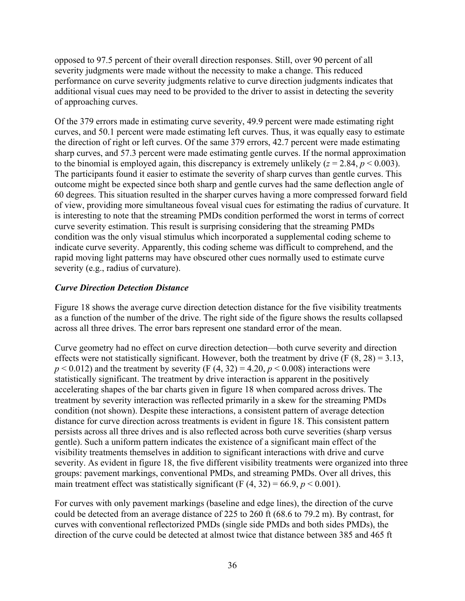opposed to 97.5 percent of their overall direction responses. Still, over 90 percent of all severity judgments were made without the necessity to make a change. This reduced performance on curve severity judgments relative to curve direction judgments indicates that additional visual cues may need to be provided to the driver to assist in detecting the severity of approaching curves.

Of the 379 errors made in estimating curve severity, 49.9 percent were made estimating right curves, and 50.1 percent were made estimating left curves. Thus, it was equally easy to estimate the direction of right or left curves. Of the same 379 errors, 42.7 percent were made estimating sharp curves, and 57.3 percent were made estimating gentle curves. If the normal approximation to the binomial is employed again, this discrepancy is extremely unlikely  $(z = 2.84, p \le 0.003)$ . The participants found it easier to estimate the severity of sharp curves than gentle curves. This outcome might be expected since both sharp and gentle curves had the same deflection angle of 60 degrees. This situation resulted in the sharper curves having a more compressed forward field of view, providing more simultaneous foveal visual cues for estimating the radius of curvature. It is interesting to note that the streaming PMDs condition performed the worst in terms of correct curve severity estimation. This result is surprising considering that the streaming PMDs condition was the only visual stimulus which incorporated a supplemental coding scheme to indicate curve severity. Apparently, this coding scheme was difficult to comprehend, and the rapid moving light patterns may have obscured other cues normally used to estimate curve severity (e.g., radius of curvature).

## *Curve Direction Detection Distance*

Figure 18 shows the average curve direction detection distance for the five visibility treatments as a function of the number of the drive. The right side of the figure shows the results collapsed across all three drives. The error bars represent one standard error of the mean.

Curve geometry had no effect on curve direction detection—both curve severity and direction effects were not statistically significant. However, both the treatment by drive  $(F (8, 28) = 3.13,$  $p < 0.012$ ) and the treatment by severity (F (4, 32) = 4.20,  $p < 0.008$ ) interactions were statistically significant. The treatment by drive interaction is apparent in the positively accelerating shapes of the bar charts given in figure 18 when compared across drives. The treatment by severity interaction was reflected primarily in a skew for the streaming PMDs condition (not shown). Despite these interactions, a consistent pattern of average detection distance for curve direction across treatments is evident in figure 18. This consistent pattern persists across all three drives and is also reflected across both curve severities (sharp versus gentle). Such a uniform pattern indicates the existence of a significant main effect of the visibility treatments themselves in addition to significant interactions with drive and curve severity. As evident in figure 18, the five different visibility treatments were organized into three groups: pavement markings, conventional PMDs, and streaming PMDs. Over all drives, this main treatment effect was statistically significant (F  $(4, 32) = 66.9, p < 0.001$ ).

For curves with only pavement markings (baseline and edge lines), the direction of the curve could be detected from an average distance of 225 to 260 ft (68.6 to 79.2 m). By contrast, for curves with conventional reflectorized PMDs (single side PMDs and both sides PMDs), the direction of the curve could be detected at almost twice that distance between 385 and 465 ft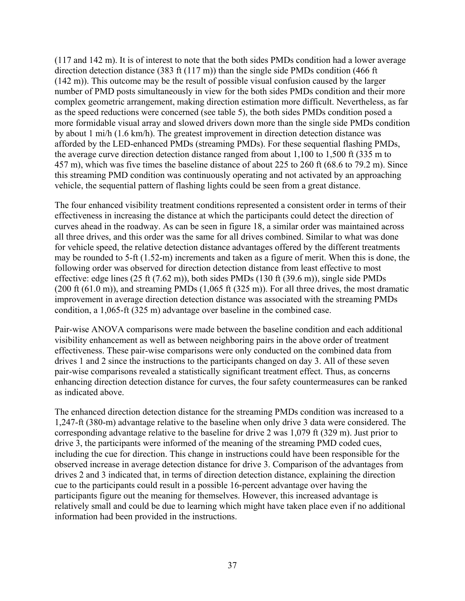(117 and 142 m). It is of interest to note that the both sides PMDs condition had a lower average direction detection distance (383 ft (117 m)) than the single side PMDs condition (466 ft (142 m)). This outcome may be the result of possible visual confusion caused by the larger number of PMD posts simultaneously in view for the both sides PMDs condition and their more complex geometric arrangement, making direction estimation more difficult. Nevertheless, as far as the speed reductions were concerned (see table 5), the both sides PMDs condition posed a more formidable visual array and slowed drivers down more than the single side PMDs condition by about 1 mi/h (1.6 km/h). The greatest improvement in direction detection distance was afforded by the LED-enhanced PMDs (streaming PMDs). For these sequential flashing PMDs, the average curve direction detection distance ranged from about 1,100 to 1,500 ft (335 m to 457 m), which was five times the baseline distance of about 225 to 260 ft (68.6 to 79.2 m). Since this streaming PMD condition was continuously operating and not activated by an approaching vehicle, the sequential pattern of flashing lights could be seen from a great distance.

The four enhanced visibility treatment conditions represented a consistent order in terms of their effectiveness in increasing the distance at which the participants could detect the direction of curves ahead in the roadway. As can be seen in figure 18, a similar order was maintained across all three drives, and this order was the same for all drives combined. Similar to what was done for vehicle speed, the relative detection distance advantages offered by the different treatments may be rounded to 5-ft (1.52-m) increments and taken as a figure of merit. When this is done, the following order was observed for direction detection distance from least effective to most effective: edge lines (25 ft (7.62 m)), both sides PMDs (130 ft (39.6 m)), single side PMDs  $(200 \text{ ft } (61.0 \text{ m}))$ , and streaming PMDs  $(1,065 \text{ ft } (325 \text{ m}))$ . For all three drives, the most dramatic improvement in average direction detection distance was associated with the streaming PMDs condition, a 1,065-ft (325 m) advantage over baseline in the combined case.

Pair-wise ANOVA comparisons were made between the baseline condition and each additional visibility enhancement as well as between neighboring pairs in the above order of treatment effectiveness. These pair-wise comparisons were only conducted on the combined data from drives 1 and 2 since the instructions to the participants changed on day 3. All of these seven pair-wise comparisons revealed a statistically significant treatment effect. Thus, as concerns enhancing direction detection distance for curves, the four safety countermeasures can be ranked as indicated above.

The enhanced direction detection distance for the streaming PMDs condition was increased to a 1,247-ft (380-m) advantage relative to the baseline when only drive 3 data were considered. The corresponding advantage relative to the baseline for drive 2 was 1,079 ft (329 m). Just prior to drive 3, the participants were informed of the meaning of the streaming PMD coded cues, including the cue for direction. This change in instructions could have been responsible for the observed increase in average detection distance for drive 3. Comparison of the advantages from drives 2 and 3 indicated that, in terms of direction detection distance, explaining the direction cue to the participants could result in a possible 16-percent advantage over having the participants figure out the meaning for themselves. However, this increased advantage is relatively small and could be due to learning which might have taken place even if no additional information had been provided in the instructions.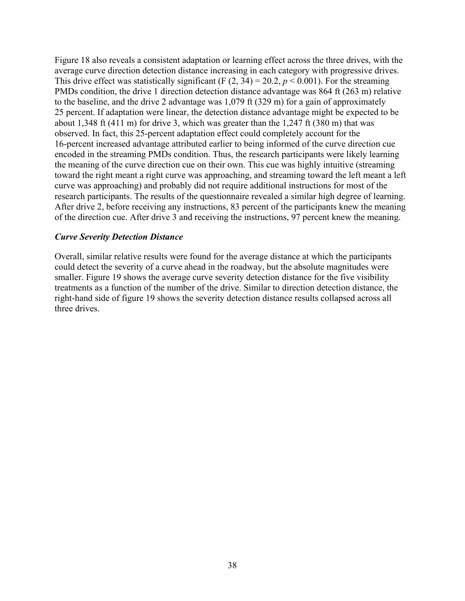Figure 18 also reveals a consistent adaptation or learning effect across the three drives, with the average curve direction detection distance increasing in each category with progressive drives. This drive effect was statistically significant (F  $(2, 34) = 20.2$ ,  $p < 0.001$ ). For the streaming PMDs condition, the drive 1 direction detection distance advantage was 864 ft (263 m) relative to the baseline, and the drive 2 advantage was 1,079 ft (329 m) for a gain of approximately 25 percent. If adaptation were linear, the detection distance advantage might be expected to be about 1,348 ft (411 m) for drive 3, which was greater than the 1,247 ft (380 m) that was observed. In fact, this 25-percent adaptation effect could completely account for the 16-percent increased advantage attributed earlier to being informed of the curve direction cue encoded in the streaming PMDs condition. Thus, the research participants were likely learning the meaning of the curve direction cue on their own. This cue was highly intuitive (streaming toward the right meant a right curve was approaching, and streaming toward the left meant a left curve was approaching) and probably did not require additional instructions for most of the research participants. The results of the questionnaire revealed a similar high degree of learning. After drive 2, before receiving any instructions, 83 percent of the participants knew the meaning of the direction cue. After drive 3 and receiving the instructions, 97 percent knew the meaning.

#### *Curve Severity Detection Distance*

Overall, similar relative results were found for the average distance at which the participants could detect the severity of a curve ahead in the roadway, but the absolute magnitudes were smaller. Figure 19 shows the average curve severity detection distance for the five visibility treatments as a function of the number of the drive. Similar to direction detection distance, the right-hand side of figure 19 shows the severity detection distance results collapsed across all three drives.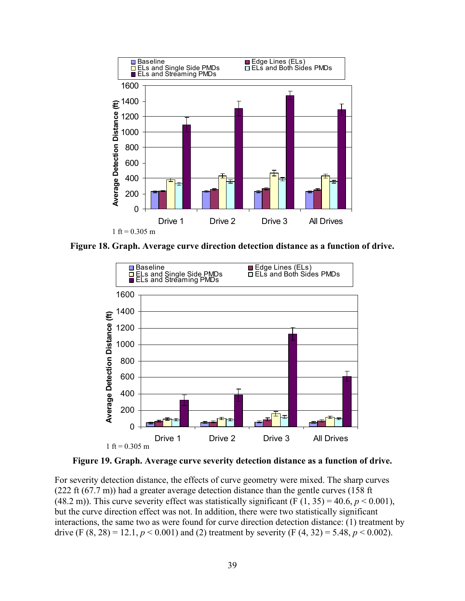

**Figure 18. Graph. Average curve direction detection distance as a function of drive.** 



**Figure 19. Graph. Average curve severity detection distance as a function of drive.** 

For severity detection distance, the effects of curve geometry were mixed. The sharp curves (222 ft (67.7 m)) had a greater average detection distance than the gentle curves (158 ft (48.2 m)). This curve severity effect was statistically significant (F  $(1, 35) = 40.6$ ,  $p < 0.001$ ), but the curve direction effect was not. In addition, there were two statistically significant interactions, the same two as were found for curve direction detection distance: (1) treatment by drive (F  $(8, 28) = 12.1$ ,  $p < 0.001$ ) and (2) treatment by severity (F  $(4, 32) = 5.48$ ,  $p < 0.002$ ).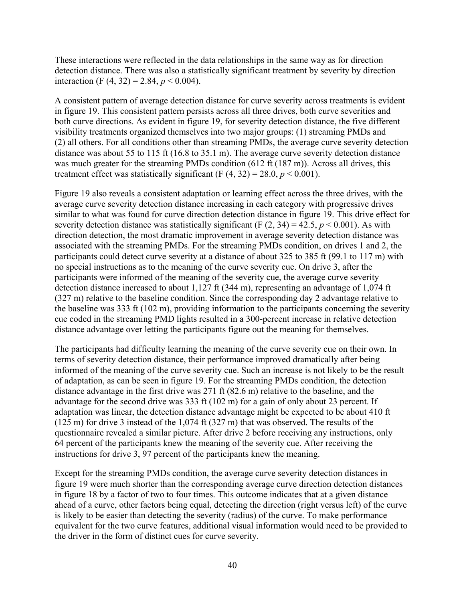These interactions were reflected in the data relationships in the same way as for direction detection distance. There was also a statistically significant treatment by severity by direction interaction (F  $(4, 32) = 2.84, p < 0.004$ ).

A consistent pattern of average detection distance for curve severity across treatments is evident in figure 19. This consistent pattern persists across all three drives, both curve severities and both curve directions. As evident in figure 19, for severity detection distance, the five different visibility treatments organized themselves into two major groups: (1) streaming PMDs and (2) all others. For all conditions other than streaming PMDs, the average curve severity detection distance was about 55 to 115 ft (16.8 to 35.1 m). The average curve severity detection distance was much greater for the streaming PMDs condition (612 ft (187 m)). Across all drives, this treatment effect was statistically significant (F  $(4, 32) = 28.0, p < 0.001$ ).

Figure 19 also reveals a consistent adaptation or learning effect across the three drives, with the average curve severity detection distance increasing in each category with progressive drives similar to what was found for curve direction detection distance in figure 19. This drive effect for severity detection distance was statistically significant (F  $(2, 34) = 42.5$ ,  $p < 0.001$ ). As with direction detection, the most dramatic improvement in average severity detection distance was associated with the streaming PMDs. For the streaming PMDs condition, on drives 1 and 2, the participants could detect curve severity at a distance of about 325 to 385 ft (99.1 to 117 m) with no special instructions as to the meaning of the curve severity cue. On drive 3, after the participants were informed of the meaning of the severity cue, the average curve severity detection distance increased to about 1,127 ft (344 m), representing an advantage of 1,074 ft (327 m) relative to the baseline condition. Since the corresponding day 2 advantage relative to the baseline was 333 ft (102 m), providing information to the participants concerning the severity cue coded in the streaming PMD lights resulted in a 300-percent increase in relative detection distance advantage over letting the participants figure out the meaning for themselves.

The participants had difficulty learning the meaning of the curve severity cue on their own. In terms of severity detection distance, their performance improved dramatically after being informed of the meaning of the curve severity cue. Such an increase is not likely to be the result of adaptation, as can be seen in figure 19. For the streaming PMDs condition, the detection distance advantage in the first drive was 271 ft (82.6 m) relative to the baseline, and the advantage for the second drive was 333 ft (102 m) for a gain of only about 23 percent. If adaptation was linear, the detection distance advantage might be expected to be about 410 ft (125 m) for drive 3 instead of the 1,074 ft (327 m) that was observed. The results of the questionnaire revealed a similar picture. After drive 2 before receiving any instructions, only 64 percent of the participants knew the meaning of the severity cue. After receiving the instructions for drive 3, 97 percent of the participants knew the meaning.

Except for the streaming PMDs condition, the average curve severity detection distances in figure 19 were much shorter than the corresponding average curve direction detection distances in figure 18 by a factor of two to four times. This outcome indicates that at a given distance ahead of a curve, other factors being equal, detecting the direction (right versus left) of the curve is likely to be easier than detecting the severity (radius) of the curve. To make performance equivalent for the two curve features, additional visual information would need to be provided to the driver in the form of distinct cues for curve severity.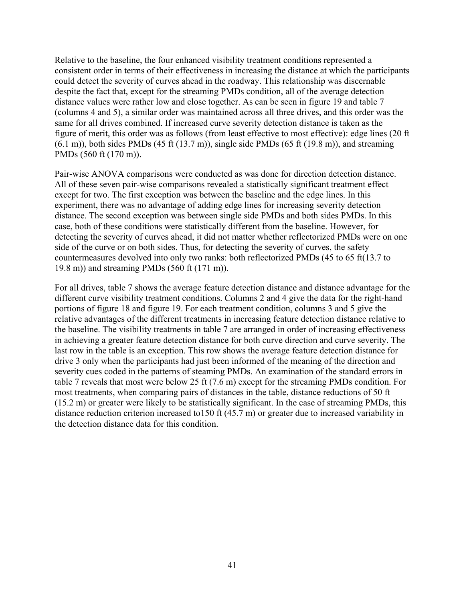Relative to the baseline, the four enhanced visibility treatment conditions represented a consistent order in terms of their effectiveness in increasing the distance at which the participants could detect the severity of curves ahead in the roadway. This relationship was discernable despite the fact that, except for the streaming PMDs condition, all of the average detection distance values were rather low and close together. As can be seen in figure 19 and table 7 (columns 4 and 5), a similar order was maintained across all three drives, and this order was the same for all drives combined. If increased curve severity detection distance is taken as the figure of merit, this order was as follows (from least effective to most effective): edge lines (20 ft  $(6.1 \text{ m})$ , both sides PMDs  $(45 \text{ ft} (13.7 \text{ m}))$ , single side PMDs  $(65 \text{ ft} (19.8 \text{ m}))$ , and streaming PMDs (560 ft (170 m)).

Pair-wise ANOVA comparisons were conducted as was done for direction detection distance. All of these seven pair-wise comparisons revealed a statistically significant treatment effect except for two. The first exception was between the baseline and the edge lines. In this experiment, there was no advantage of adding edge lines for increasing severity detection distance. The second exception was between single side PMDs and both sides PMDs. In this case, both of these conditions were statistically different from the baseline. However, for detecting the severity of curves ahead, it did not matter whether reflectorized PMDs were on one side of the curve or on both sides. Thus, for detecting the severity of curves, the safety countermeasures devolved into only two ranks: both reflectorized PMDs (45 to 65 ft(13.7 to 19.8 m)) and streaming PMDs (560 ft (171 m)).

For all drives, table 7 shows the average feature detection distance and distance advantage for the different curve visibility treatment conditions. Columns 2 and 4 give the data for the right-hand portions of figure 18 and figure 19. For each treatment condition, columns 3 and 5 give the relative advantages of the different treatments in increasing feature detection distance relative to the baseline. The visibility treatments in table 7 are arranged in order of increasing effectiveness in achieving a greater feature detection distance for both curve direction and curve severity. The last row in the table is an exception. This row shows the average feature detection distance for drive 3 only when the participants had just been informed of the meaning of the direction and severity cues coded in the patterns of steaming PMDs. An examination of the standard errors in table 7 reveals that most were below 25 ft (7.6 m) except for the streaming PMDs condition. For most treatments, when comparing pairs of distances in the table, distance reductions of 50 ft (15.2 m) or greater were likely to be statistically significant. In the case of streaming PMDs, this distance reduction criterion increased to150 ft (45.7 m) or greater due to increased variability in the detection distance data for this condition.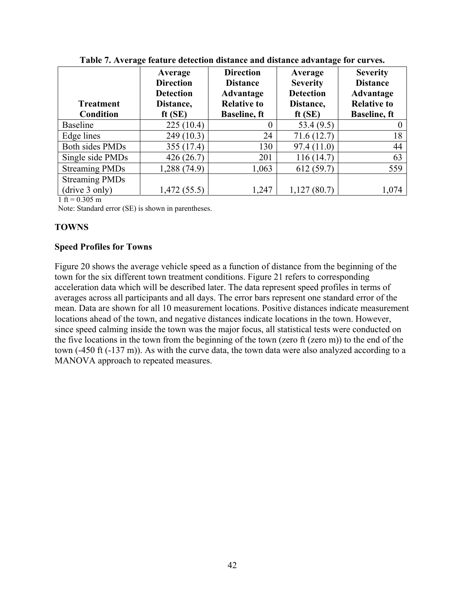|                                      | Average<br><b>Direction</b><br><b>Detection</b> | <b>Direction</b><br><b>Distance</b><br>Advantage | Average<br><b>Severity</b><br><b>Detection</b> | <b>Severity</b><br><b>Distance</b><br>Advantage |
|--------------------------------------|-------------------------------------------------|--------------------------------------------------|------------------------------------------------|-------------------------------------------------|
| <b>Treatment</b><br><b>Condition</b> | Distance,<br>ft $(SE)$                          | <b>Relative to</b><br><b>Baseline</b> , ft       | Distance,<br>ft $(SE)$                         | <b>Relative to</b><br><b>Baseline</b> , ft      |
| <b>Baseline</b>                      | 225(10.4)                                       |                                                  | 53.4 (9.5)                                     |                                                 |
| Edge lines                           | 249 (10.3)                                      | 24                                               | 71.6(12.7)                                     | 18                                              |
| Both sides PMDs                      | 355 (17.4)                                      | 130                                              | 97.4(11.0)                                     | 44                                              |
| Single side PMDs                     | 426(26.7)                                       | 201                                              | 116(14.7)                                      | 63                                              |
| <b>Streaming PMDs</b>                | 1,288 (74.9)                                    | 1,063                                            | 612(59.7)                                      | 559                                             |
| <b>Streaming PMDs</b>                |                                                 |                                                  |                                                |                                                 |
| (drive 3 only)                       | 1,472(55.5)                                     | 1,247                                            | 1,127(80.7)                                    | 1,074                                           |

**Table 7. Average feature detection distance and distance advantage for curves.** 

 $1 \text{ ft} = 0.305 \text{ m}$ 

Note: Standard error (SE) is shown in parentheses.

## **TOWNS**

### **Speed Profiles for Towns**

Figure 20 shows the average vehicle speed as a function of distance from the beginning of the town for the six different town treatment conditions. Figure 21 refers to corresponding acceleration data which will be described later. The data represent speed profiles in terms of averages across all participants and all days. The error bars represent one standard error of the mean. Data are shown for all 10 measurement locations. Positive distances indicate measurement locations ahead of the town, and negative distances indicate locations in the town. However, since speed calming inside the town was the major focus, all statistical tests were conducted on the five locations in the town from the beginning of the town (zero ft (zero m)) to the end of the town (-450 ft (-137 m)). As with the curve data, the town data were also analyzed according to a MANOVA approach to repeated measures.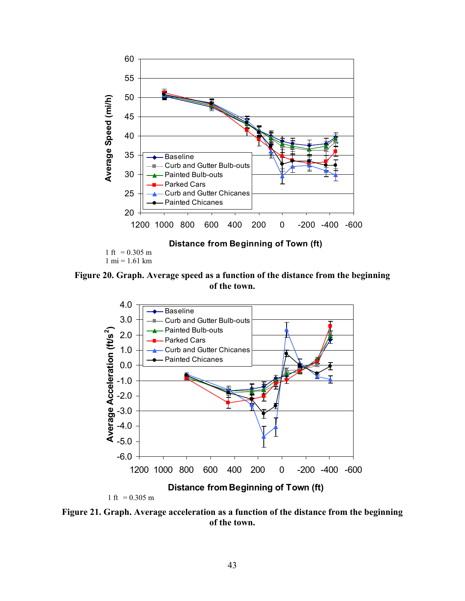

**Figure 20. Graph. Average speed as a function of the distance from the beginning of the town.** 



**Figure 21. Graph. Average acceleration as a function of the distance from the beginning of the town.**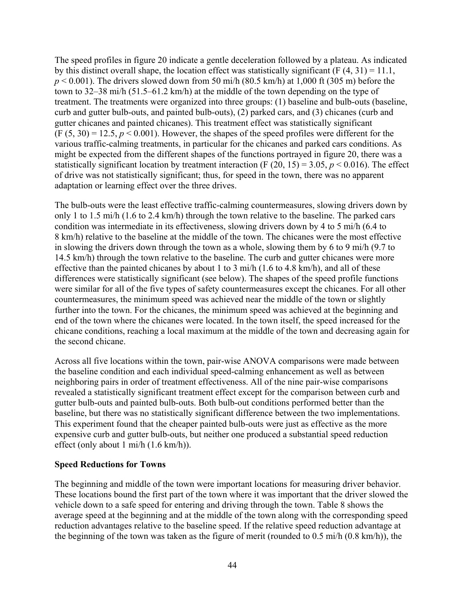The speed profiles in figure 20 indicate a gentle deceleration followed by a plateau. As indicated by this distinct overall shape, the location effect was statistically significant (F  $(4, 31) = 11.1$ ,  $p < 0.001$ ). The drivers slowed down from 50 mi/h (80.5 km/h) at 1,000 ft (305 m) before the town to 32–38 mi/h (51.5–61.2 km/h) at the middle of the town depending on the type of treatment. The treatments were organized into three groups: (1) baseline and bulb-outs (baseline, curb and gutter bulb-outs, and painted bulb-outs), (2) parked cars, and (3) chicanes (curb and gutter chicanes and painted chicanes). This treatment effect was statistically significant  $(F (5, 30) = 12.5, p < 0.001)$ . However, the shapes of the speed profiles were different for the various traffic-calming treatments, in particular for the chicanes and parked cars conditions. As might be expected from the different shapes of the functions portrayed in figure 20, there was a statistically significant location by treatment interaction  $(F (20, 15) = 3.05, p < 0.016)$ . The effect of drive was not statistically significant; thus, for speed in the town, there was no apparent adaptation or learning effect over the three drives.

The bulb-outs were the least effective traffic-calming countermeasures, slowing drivers down by only 1 to 1.5 mi/h (1.6 to 2.4 km/h) through the town relative to the baseline. The parked cars condition was intermediate in its effectiveness, slowing drivers down by 4 to 5 mi/h (6.4 to 8 km/h) relative to the baseline at the middle of the town. The chicanes were the most effective in slowing the drivers down through the town as a whole, slowing them by 6 to 9 mi/h (9.7 to 14.5 km/h) through the town relative to the baseline. The curb and gutter chicanes were more effective than the painted chicanes by about 1 to 3 mi/h (1.6 to 4.8 km/h), and all of these differences were statistically significant (see below). The shapes of the speed profile functions were similar for all of the five types of safety countermeasures except the chicanes. For all other countermeasures, the minimum speed was achieved near the middle of the town or slightly further into the town. For the chicanes, the minimum speed was achieved at the beginning and end of the town where the chicanes were located. In the town itself, the speed increased for the chicane conditions, reaching a local maximum at the middle of the town and decreasing again for the second chicane.

Across all five locations within the town, pair-wise ANOVA comparisons were made between the baseline condition and each individual speed-calming enhancement as well as between neighboring pairs in order of treatment effectiveness. All of the nine pair-wise comparisons revealed a statistically significant treatment effect except for the comparison between curb and gutter bulb-outs and painted bulb-outs. Both bulb-out conditions performed better than the baseline, but there was no statistically significant difference between the two implementations. This experiment found that the cheaper painted bulb-outs were just as effective as the more expensive curb and gutter bulb-outs, but neither one produced a substantial speed reduction effect (only about 1 mi/h (1.6 km/h)).

#### **Speed Reductions for Towns**

The beginning and middle of the town were important locations for measuring driver behavior. These locations bound the first part of the town where it was important that the driver slowed the vehicle down to a safe speed for entering and driving through the town. Table 8 shows the average speed at the beginning and at the middle of the town along with the corresponding speed reduction advantages relative to the baseline speed. If the relative speed reduction advantage at the beginning of the town was taken as the figure of merit (rounded to 0.5 mi/h (0.8 km/h)), the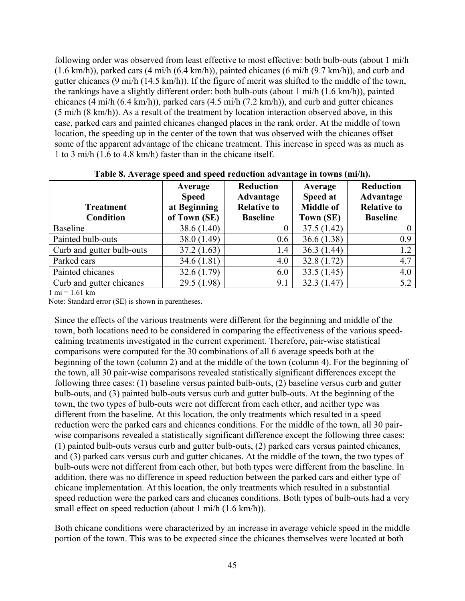following order was observed from least effective to most effective: both bulb-outs (about 1 mi/h (1.6 km/h)), parked cars (4 mi/h (6.4 km/h)), painted chicanes (6 mi/h (9.7 km/h)), and curb and gutter chicanes (9 mi/h (14.5 km/h)). If the figure of merit was shifted to the middle of the town, the rankings have a slightly different order: both bulb-outs (about 1 mi/h (1.6 km/h)), painted chicanes (4 mi/h (6.4 km/h)), parked cars (4.5 mi/h (7.2 km/h)), and curb and gutter chicanes (5 mi/h (8 km/h)). As a result of the treatment by location interaction observed above, in this case, parked cars and painted chicanes changed places in the rank order. At the middle of town location, the speeding up in the center of the town that was observed with the chicanes offset some of the apparent advantage of the chicane treatment. This increase in speed was as much as 1 to 3 mi/h (1.6 to 4.8 km/h) faster than in the chicane itself.

| <b>Treatment</b><br><b>Condition</b> | Average<br><b>Speed</b><br>at Beginning<br>of Town (SE) | <b>Reduction</b><br>Advantage<br><b>Relative to</b><br><b>Baseline</b> | Average<br>Speed at<br><b>Middle of</b><br>Town (SE) | Reduction<br>Advantage<br><b>Relative to</b><br><b>Baseline</b> |
|--------------------------------------|---------------------------------------------------------|------------------------------------------------------------------------|------------------------------------------------------|-----------------------------------------------------------------|
| <b>Baseline</b>                      | 38.6 (1.40)                                             | 0                                                                      | 37.5(1.42)                                           |                                                                 |
| Painted bulb-outs                    | 38.0 (1.49)                                             | 0.6                                                                    | 36.6(1.38)                                           | 0.9                                                             |
| Curb and gutter bulb-outs            | 37.2(1.63)                                              | 1.4                                                                    | 36.3(1.44)                                           | 1.2                                                             |
| Parked cars                          | 34.6(1.81)                                              | 4.0                                                                    | 32.8(1.72)                                           | 4.7                                                             |
| Painted chicanes                     | 32.6(1.79)                                              | 6.0                                                                    | 33.5(1.45)                                           | 4.0                                                             |
| Curb and gutter chicanes             | 29.5 (1.98)                                             | 9.1                                                                    | 32.3(1.47)                                           | 5.2                                                             |

**Table 8. Average speed and speed reduction advantage in towns (mi/h).** 

 $1 \text{ mi} = 1.61 \text{ km}$ 

Note: Standard error (SE) is shown in parentheses.

Since the effects of the various treatments were different for the beginning and middle of the town, both locations need to be considered in comparing the effectiveness of the various speedcalming treatments investigated in the current experiment. Therefore, pair-wise statistical comparisons were computed for the 30 combinations of all 6 average speeds both at the beginning of the town (column 2) and at the middle of the town (column 4). For the beginning of the town, all 30 pair-wise comparisons revealed statistically significant differences except the following three cases: (1) baseline versus painted bulb-outs, (2) baseline versus curb and gutter bulb-outs, and (3) painted bulb-outs versus curb and gutter bulb-outs. At the beginning of the town, the two types of bulb-outs were not different from each other, and neither type was different from the baseline. At this location, the only treatments which resulted in a speed reduction were the parked cars and chicanes conditions. For the middle of the town, all 30 pairwise comparisons revealed a statistically significant difference except the following three cases: (1) painted bulb-outs versus curb and gutter bulb-outs, (2) parked cars versus painted chicanes, and (3) parked cars versus curb and gutter chicanes. At the middle of the town, the two types of bulb-outs were not different from each other, but both types were different from the baseline. In addition, there was no difference in speed reduction between the parked cars and either type of chicane implementation. At this location, the only treatments which resulted in a substantial speed reduction were the parked cars and chicanes conditions. Both types of bulb-outs had a very small effect on speed reduction (about 1 mi/h (1.6 km/h)).

Both chicane conditions were characterized by an increase in average vehicle speed in the middle portion of the town. This was to be expected since the chicanes themselves were located at both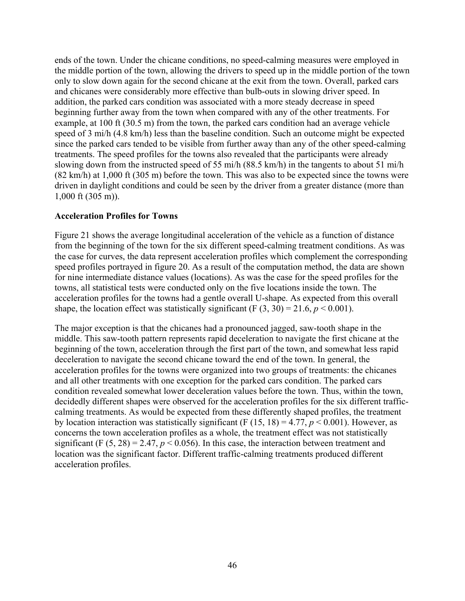ends of the town. Under the chicane conditions, no speed-calming measures were employed in the middle portion of the town, allowing the drivers to speed up in the middle portion of the town only to slow down again for the second chicane at the exit from the town. Overall, parked cars and chicanes were considerably more effective than bulb-outs in slowing driver speed. In addition, the parked cars condition was associated with a more steady decrease in speed beginning further away from the town when compared with any of the other treatments. For example, at 100 ft (30.5 m) from the town, the parked cars condition had an average vehicle speed of 3 mi/h (4.8 km/h) less than the baseline condition. Such an outcome might be expected since the parked cars tended to be visible from further away than any of the other speed-calming treatments. The speed profiles for the towns also revealed that the participants were already slowing down from the instructed speed of 55 mi/h (88.5 km/h) in the tangents to about 51 mi/h (82 km/h) at 1,000 ft (305 m) before the town. This was also to be expected since the towns were driven in daylight conditions and could be seen by the driver from a greater distance (more than 1,000 ft (305 m)).

#### **Acceleration Profiles for Towns**

Figure 21 shows the average longitudinal acceleration of the vehicle as a function of distance from the beginning of the town for the six different speed-calming treatment conditions. As was the case for curves, the data represent acceleration profiles which complement the corresponding speed profiles portrayed in figure 20. As a result of the computation method, the data are shown for nine intermediate distance values (locations). As was the case for the speed profiles for the towns, all statistical tests were conducted only on the five locations inside the town. The acceleration profiles for the towns had a gentle overall U-shape. As expected from this overall shape, the location effect was statistically significant (F  $(3, 30) = 21.6$ ,  $p < 0.001$ ).

The major exception is that the chicanes had a pronounced jagged, saw-tooth shape in the middle. This saw-tooth pattern represents rapid deceleration to navigate the first chicane at the beginning of the town, acceleration through the first part of the town, and somewhat less rapid deceleration to navigate the second chicane toward the end of the town. In general, the acceleration profiles for the towns were organized into two groups of treatments: the chicanes and all other treatments with one exception for the parked cars condition. The parked cars condition revealed somewhat lower deceleration values before the town. Thus, within the town, decidedly different shapes were observed for the acceleration profiles for the six different trafficcalming treatments. As would be expected from these differently shaped profiles, the treatment by location interaction was statistically significant (F  $(15, 18) = 4.77$ ,  $p < 0.001$ ). However, as concerns the town acceleration profiles as a whole, the treatment effect was not statistically significant (F  $(5, 28) = 2.47$ ,  $p < 0.056$ ). In this case, the interaction between treatment and location was the significant factor. Different traffic-calming treatments produced different acceleration profiles.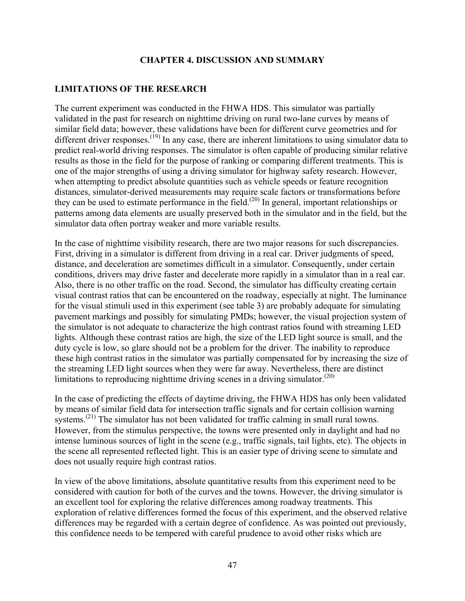#### **CHAPTER 4. DISCUSSION AND SUMMARY**

### **LIMITATIONS OF THE RESEARCH**

The current experiment was conducted in the FHWA HDS. This simulator was partially validated in the past for research on nighttime driving on rural two-lane curves by means of similar field data; however, these validations have been for different curve geometries and for different driver responses.<sup>(19)</sup> In any case, there are inherent limitations to using simulator data to predict real-world driving responses. The simulator is often capable of producing similar relative results as those in the field for the purpose of ranking or comparing different treatments. This is one of the major strengths of using a driving simulator for highway safety research. However, when attempting to predict absolute quantities such as vehicle speeds or feature recognition distances, simulator-derived measurements may require scale factors or transformations before they can be used to estimate performance in the field.<sup>(20)</sup> In general, important relationships or patterns among data elements are usually preserved both in the simulator and in the field, but the simulator data often portray weaker and more variable results.

In the case of nighttime visibility research, there are two major reasons for such discrepancies. First, driving in a simulator is different from driving in a real car. Driver judgments of speed, distance, and deceleration are sometimes difficult in a simulator. Consequently, under certain conditions, drivers may drive faster and decelerate more rapidly in a simulator than in a real car. Also, there is no other traffic on the road. Second, the simulator has difficulty creating certain visual contrast ratios that can be encountered on the roadway, especially at night. The luminance for the visual stimuli used in this experiment (see table 3) are probably adequate for simulating pavement markings and possibly for simulating PMDs; however, the visual projection system of the simulator is not adequate to characterize the high contrast ratios found with streaming LED lights. Although these contrast ratios are high, the size of the LED light source is small, and the duty cycle is low, so glare should not be a problem for the driver. The inability to reproduce these high contrast ratios in the simulator was partially compensated for by increasing the size of the streaming LED light sources when they were far away. Nevertheless, there are distinct limitations to reproducing nighttime driving scenes in a driving simulator.<sup> $(20)$ </sup>

In the case of predicting the effects of daytime driving, the FHWA HDS has only been validated by means of similar field data for intersection traffic signals and for certain collision warning systems.<sup>(21)</sup> The simulator has not been validated for traffic calming in small rural towns. However, from the stimulus perspective, the towns were presented only in daylight and had no intense luminous sources of light in the scene (e.g., traffic signals, tail lights, etc). The objects in the scene all represented reflected light. This is an easier type of driving scene to simulate and does not usually require high contrast ratios.

In view of the above limitations, absolute quantitative results from this experiment need to be considered with caution for both of the curves and the towns. However, the driving simulator is an excellent tool for exploring the relative differences among roadway treatments. This exploration of relative differences formed the focus of this experiment, and the observed relative differences may be regarded with a certain degree of confidence. As was pointed out previously, this confidence needs to be tempered with careful prudence to avoid other risks which are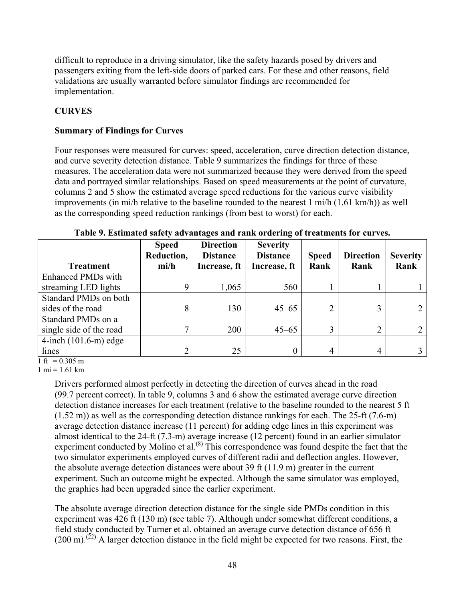difficult to reproduce in a driving simulator, like the safety hazards posed by drivers and passengers exiting from the left-side doors of parked cars. For these and other reasons, field validations are usually warranted before simulator findings are recommended for implementation.

# **CURVES**

# **Summary of Findings for Curves**

Four responses were measured for curves: speed, acceleration, curve direction detection distance, and curve severity detection distance. Table 9 summarizes the findings for three of these measures. The acceleration data were not summarized because they were derived from the speed data and portrayed similar relationships. Based on speed measurements at the point of curvature, columns 2 and 5 show the estimated average speed reductions for the various curve visibility improvements (in mi/h relative to the baseline rounded to the nearest 1 mi/h (1.61 km/h)) as well as the corresponding speed reduction rankings (from best to worst) for each.

|                         | <b>Speed</b><br>Reduction, | <b>Direction</b><br><b>Distance</b> | <b>Severity</b><br><b>Distance</b> | <b>Speed</b>   | <b>Direction</b> | <b>Severity</b> |
|-------------------------|----------------------------|-------------------------------------|------------------------------------|----------------|------------------|-----------------|
| <b>Treatment</b>        | $\mathbf{mi}/\mathbf{h}$   | Increase, ft                        | Increase, ft                       | Rank           | Rank             | Rank            |
| Enhanced PMDs with      |                            |                                     |                                    |                |                  |                 |
| streaming LED lights    | 9                          | 1,065                               | 560                                |                |                  |                 |
| Standard PMDs on both   |                            |                                     |                                    |                |                  |                 |
| sides of the road       | 8                          | 130                                 | $45 - 65$                          | $\overline{2}$ | 3                |                 |
| Standard PMDs on a      |                            |                                     |                                    |                |                  |                 |
| single side of the road | 7                          | 200                                 | $45 - 65$                          | 3              | ◠                |                 |
| 4-inch $(101.6-m)$ edge |                            |                                     |                                    |                |                  |                 |
| lines                   | 2                          | 25                                  | 0                                  | 4              | 4                |                 |

| Table 9. Estimated safety advantages and rank ordering of treatments for curves. |  |  |
|----------------------------------------------------------------------------------|--|--|
|                                                                                  |  |  |

 $1 \text{ ft} = 0.305 \text{ m}$ 

 $1 \text{ mi} = 1.61 \text{ km}$ 

Drivers performed almost perfectly in detecting the direction of curves ahead in the road (99.7 percent correct). In table 9, columns 3 and 6 show the estimated average curve direction detection distance increases for each treatment (relative to the baseline rounded to the nearest 5 ft (1.52 m)) as well as the corresponding detection distance rankings for each. The 25-ft (7.6-m) average detection distance increase (11 percent) for adding edge lines in this experiment was almost identical to the 24-ft (7.3-m) average increase (12 percent) found in an earlier simulator experiment conducted by Molino et al.<sup>(8)</sup> This correspondence was found despite the fact that the two simulator experiments employed curves of different radii and deflection angles. However, the absolute average detection distances were about 39 ft (11.9 m) greater in the current experiment. Such an outcome might be expected. Although the same simulator was employed, the graphics had been upgraded since the earlier experiment.

The absolute average direction detection distance for the single side PMDs condition in this experiment was 426 ft (130 m) (see table 7). Although under somewhat different conditions, a field study conducted by Turner et al. obtained an average curve detection distance of 656 ft  $(200 \text{ m})$ .<sup>(22)</sup> A larger detection distance in the field might be expected for two reasons. First, the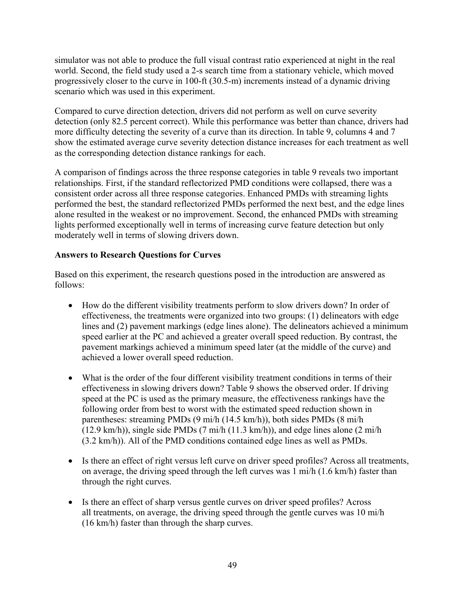simulator was not able to produce the full visual contrast ratio experienced at night in the real world. Second, the field study used a 2-s search time from a stationary vehicle, which moved progressively closer to the curve in 100-ft (30.5-m) increments instead of a dynamic driving scenario which was used in this experiment.

Compared to curve direction detection, drivers did not perform as well on curve severity detection (only 82.5 percent correct). While this performance was better than chance, drivers had more difficulty detecting the severity of a curve than its direction. In table 9, columns 4 and 7 show the estimated average curve severity detection distance increases for each treatment as well as the corresponding detection distance rankings for each.

A comparison of findings across the three response categories in table 9 reveals two important relationships. First, if the standard reflectorized PMD conditions were collapsed, there was a consistent order across all three response categories. Enhanced PMDs with streaming lights performed the best, the standard reflectorized PMDs performed the next best, and the edge lines alone resulted in the weakest or no improvement. Second, the enhanced PMDs with streaming lights performed exceptionally well in terms of increasing curve feature detection but only moderately well in terms of slowing drivers down.

## **Answers to Research Questions for Curves**

Based on this experiment, the research questions posed in the introduction are answered as follows:

- How do the different visibility treatments perform to slow drivers down? In order of effectiveness, the treatments were organized into two groups: (1) delineators with edge lines and (2) pavement markings (edge lines alone). The delineators achieved a minimum speed earlier at the PC and achieved a greater overall speed reduction. By contrast, the pavement markings achieved a minimum speed later (at the middle of the curve) and achieved a lower overall speed reduction.
- What is the order of the four different visibility treatment conditions in terms of their effectiveness in slowing drivers down? Table 9 shows the observed order. If driving speed at the PC is used as the primary measure, the effectiveness rankings have the following order from best to worst with the estimated speed reduction shown in parentheses: streaming PMDs (9 mi/h (14.5 km/h)), both sides PMDs (8 mi/h (12.9 km/h)), single side PMDs (7 mi/h (11.3 km/h)), and edge lines alone (2 mi/h (3.2 km/h)). All of the PMD conditions contained edge lines as well as PMDs.
- Is there an effect of right versus left curve on driver speed profiles? Across all treatments, on average, the driving speed through the left curves was 1 mi/h (1.6 km/h) faster than through the right curves.
- Is there an effect of sharp versus gentle curves on driver speed profiles? Across all treatments, on average, the driving speed through the gentle curves was 10 mi/h (16 km/h) faster than through the sharp curves.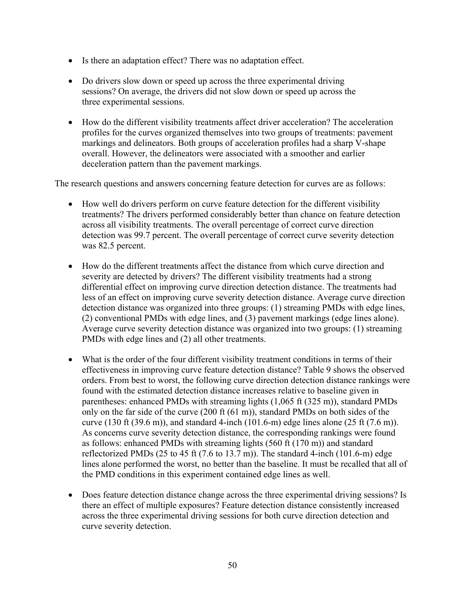- Is there an adaptation effect? There was no adaptation effect.
- Do drivers slow down or speed up across the three experimental driving sessions? On average, the drivers did not slow down or speed up across the three experimental sessions.
- How do the different visibility treatments affect driver acceleration? The acceleration profiles for the curves organized themselves into two groups of treatments: pavement markings and delineators. Both groups of acceleration profiles had a sharp V-shape overall. However, the delineators were associated with a smoother and earlier deceleration pattern than the pavement markings.

The research questions and answers concerning feature detection for curves are as follows:

- How well do drivers perform on curve feature detection for the different visibility treatments? The drivers performed considerably better than chance on feature detection across all visibility treatments. The overall percentage of correct curve direction detection was 99.7 percent. The overall percentage of correct curve severity detection was 82.5 percent.
- How do the different treatments affect the distance from which curve direction and severity are detected by drivers? The different visibility treatments had a strong differential effect on improving curve direction detection distance. The treatments had less of an effect on improving curve severity detection distance. Average curve direction detection distance was organized into three groups: (1) streaming PMDs with edge lines, (2) conventional PMDs with edge lines, and (3) pavement markings (edge lines alone). Average curve severity detection distance was organized into two groups: (1) streaming PMDs with edge lines and (2) all other treatments.
- What is the order of the four different visibility treatment conditions in terms of their effectiveness in improving curve feature detection distance? Table 9 shows the observed orders. From best to worst, the following curve direction detection distance rankings were found with the estimated detection distance increases relative to baseline given in parentheses: enhanced PMDs with streaming lights (1,065 ft (325 m)), standard PMDs only on the far side of the curve (200 ft (61 m)), standard PMDs on both sides of the curve (130 ft (39.6 m)), and standard 4-inch (101.6-m) edge lines alone (25 ft (7.6 m)). As concerns curve severity detection distance, the corresponding rankings were found as follows: enhanced PMDs with streaming lights (560 ft (170 m)) and standard reflectorized PMDs  $(25 \text{ to } 45 \text{ ft } (7.6 \text{ to } 13.7 \text{ m}))$ . The standard 4-inch  $(101.6 \text{ -m})$  edge lines alone performed the worst, no better than the baseline. It must be recalled that all of the PMD conditions in this experiment contained edge lines as well.
- Does feature detection distance change across the three experimental driving sessions? Is there an effect of multiple exposures? Feature detection distance consistently increased across the three experimental driving sessions for both curve direction detection and curve severity detection.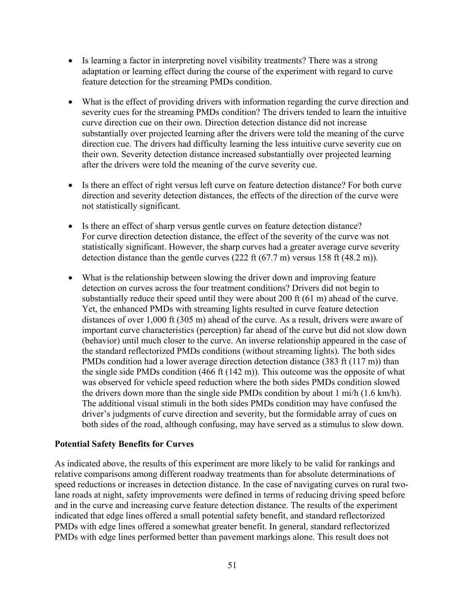- Is learning a factor in interpreting novel visibility treatments? There was a strong adaptation or learning effect during the course of the experiment with regard to curve feature detection for the streaming PMDs condition.
- What is the effect of providing drivers with information regarding the curve direction and severity cues for the streaming PMDs condition? The drivers tended to learn the intuitive curve direction cue on their own. Direction detection distance did not increase substantially over projected learning after the drivers were told the meaning of the curve direction cue. The drivers had difficulty learning the less intuitive curve severity cue on their own. Severity detection distance increased substantially over projected learning after the drivers were told the meaning of the curve severity cue.
- Is there an effect of right versus left curve on feature detection distance? For both curve direction and severity detection distances, the effects of the direction of the curve were not statistically significant.
- Is there an effect of sharp versus gentle curves on feature detection distance? For curve direction detection distance, the effect of the severity of the curve was not statistically significant. However, the sharp curves had a greater average curve severity detection distance than the gentle curves (222 ft (67.7 m) versus 158 ft (48.2 m)).
- What is the relationship between slowing the driver down and improving feature detection on curves across the four treatment conditions? Drivers did not begin to substantially reduce their speed until they were about 200 ft (61 m) ahead of the curve. Yet, the enhanced PMDs with streaming lights resulted in curve feature detection distances of over 1,000 ft (305 m) ahead of the curve. As a result, drivers were aware of important curve characteristics (perception) far ahead of the curve but did not slow down (behavior) until much closer to the curve. An inverse relationship appeared in the case of the standard reflectorized PMDs conditions (without streaming lights). The both sides PMDs condition had a lower average direction detection distance (383 ft (117 m)) than the single side PMDs condition (466 ft (142 m)). This outcome was the opposite of what was observed for vehicle speed reduction where the both sides PMDs condition slowed the drivers down more than the single side PMDs condition by about 1 mi/h (1.6 km/h). The additional visual stimuli in the both sides PMDs condition may have confused the driver's judgments of curve direction and severity, but the formidable array of cues on both sides of the road, although confusing, may have served as a stimulus to slow down.

## **Potential Safety Benefits for Curves**

As indicated above, the results of this experiment are more likely to be valid for rankings and relative comparisons among different roadway treatments than for absolute determinations of speed reductions or increases in detection distance. In the case of navigating curves on rural twolane roads at night, safety improvements were defined in terms of reducing driving speed before and in the curve and increasing curve feature detection distance. The results of the experiment indicated that edge lines offered a small potential safety benefit, and standard reflectorized PMDs with edge lines offered a somewhat greater benefit. In general, standard reflectorized PMDs with edge lines performed better than pavement markings alone. This result does not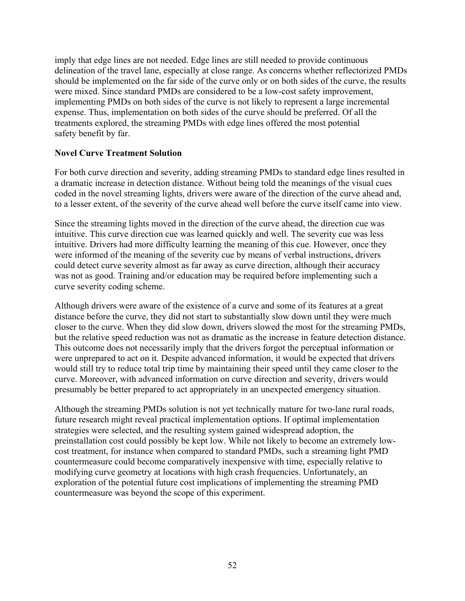imply that edge lines are not needed. Edge lines are still needed to provide continuous delineation of the travel lane, especially at close range. As concerns whether reflectorized PMDs should be implemented on the far side of the curve only or on both sides of the curve, the results were mixed. Since standard PMDs are considered to be a low-cost safety improvement, implementing PMDs on both sides of the curve is not likely to represent a large incremental expense. Thus, implementation on both sides of the curve should be preferred. Of all the treatments explored, the streaming PMDs with edge lines offered the most potential safety benefit by far.

### **Novel Curve Treatment Solution**

For both curve direction and severity, adding streaming PMDs to standard edge lines resulted in a dramatic increase in detection distance. Without being told the meanings of the visual cues coded in the novel streaming lights, drivers were aware of the direction of the curve ahead and, to a lesser extent, of the severity of the curve ahead well before the curve itself came into view.

Since the streaming lights moved in the direction of the curve ahead, the direction cue was intuitive. This curve direction cue was learned quickly and well. The severity cue was less intuitive. Drivers had more difficulty learning the meaning of this cue. However, once they were informed of the meaning of the severity cue by means of verbal instructions, drivers could detect curve severity almost as far away as curve direction, although their accuracy was not as good. Training and/or education may be required before implementing such a curve severity coding scheme.

Although drivers were aware of the existence of a curve and some of its features at a great distance before the curve, they did not start to substantially slow down until they were much closer to the curve. When they did slow down, drivers slowed the most for the streaming PMDs, but the relative speed reduction was not as dramatic as the increase in feature detection distance. This outcome does not necessarily imply that the drivers forgot the perceptual information or were unprepared to act on it. Despite advanced information, it would be expected that drivers would still try to reduce total trip time by maintaining their speed until they came closer to the curve. Moreover, with advanced information on curve direction and severity, drivers would presumably be better prepared to act appropriately in an unexpected emergency situation.

Although the streaming PMDs solution is not yet technically mature for two-lane rural roads, future research might reveal practical implementation options. If optimal implementation strategies were selected, and the resulting system gained widespread adoption, the preinstallation cost could possibly be kept low. While not likely to become an extremely lowcost treatment, for instance when compared to standard PMDs, such a streaming light PMD countermeasure could become comparatively inexpensive with time, especially relative to modifying curve geometry at locations with high crash frequencies. Unfortunately, an exploration of the potential future cost implications of implementing the streaming PMD countermeasure was beyond the scope of this experiment.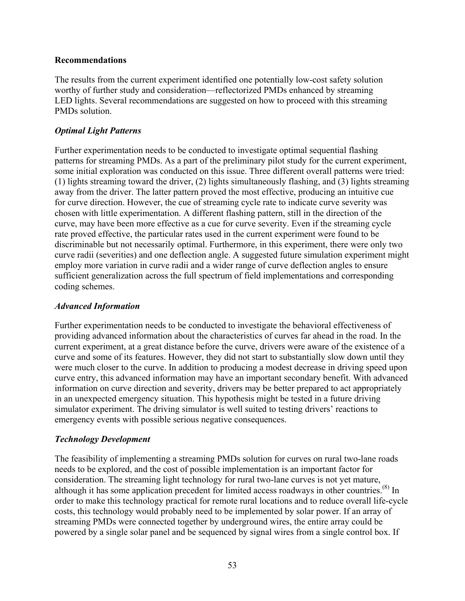### **Recommendations**

The results from the current experiment identified one potentially low-cost safety solution worthy of further study and consideration—reflectorized PMDs enhanced by streaming LED lights. Several recommendations are suggested on how to proceed with this streaming PMDs solution.

### *Optimal Light Patterns*

Further experimentation needs to be conducted to investigate optimal sequential flashing patterns for streaming PMDs. As a part of the preliminary pilot study for the current experiment, some initial exploration was conducted on this issue. Three different overall patterns were tried: (1) lights streaming toward the driver, (2) lights simultaneously flashing, and (3) lights streaming away from the driver. The latter pattern proved the most effective, producing an intuitive cue for curve direction. However, the cue of streaming cycle rate to indicate curve severity was chosen with little experimentation. A different flashing pattern, still in the direction of the curve, may have been more effective as a cue for curve severity. Even if the streaming cycle rate proved effective, the particular rates used in the current experiment were found to be discriminable but not necessarily optimal. Furthermore, in this experiment, there were only two curve radii (severities) and one deflection angle. A suggested future simulation experiment might employ more variation in curve radii and a wider range of curve deflection angles to ensure sufficient generalization across the full spectrum of field implementations and corresponding coding schemes.

## *Advanced Information*

Further experimentation needs to be conducted to investigate the behavioral effectiveness of providing advanced information about the characteristics of curves far ahead in the road. In the current experiment, at a great distance before the curve, drivers were aware of the existence of a curve and some of its features. However, they did not start to substantially slow down until they were much closer to the curve. In addition to producing a modest decrease in driving speed upon curve entry, this advanced information may have an important secondary benefit. With advanced information on curve direction and severity, drivers may be better prepared to act appropriately in an unexpected emergency situation. This hypothesis might be tested in a future driving simulator experiment. The driving simulator is well suited to testing drivers' reactions to emergency events with possible serious negative consequences.

## *Technology Development*

The feasibility of implementing a streaming PMDs solution for curves on rural two-lane roads needs to be explored, and the cost of possible implementation is an important factor for consideration. The streaming light technology for rural two-lane curves is not yet mature, although it has some application precedent for limited access roadways in other countries.<sup>(8)</sup> In order to make this technology practical for remote rural locations and to reduce overall life-cycle costs, this technology would probably need to be implemented by solar power. If an array of streaming PMDs were connected together by underground wires, the entire array could be powered by a single solar panel and be sequenced by signal wires from a single control box. If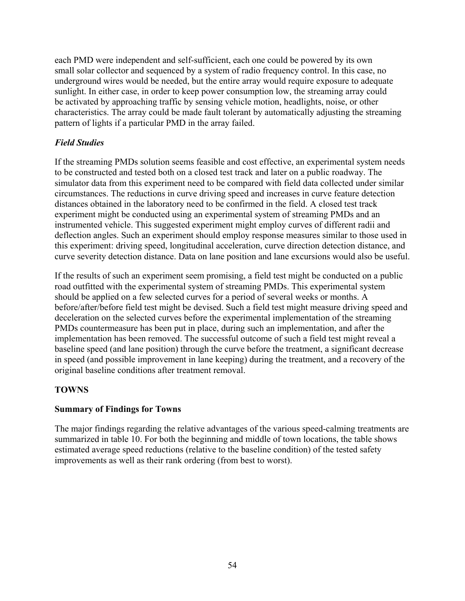each PMD were independent and self-sufficient, each one could be powered by its own small solar collector and sequenced by a system of radio frequency control. In this case, no underground wires would be needed, but the entire array would require exposure to adequate sunlight. In either case, in order to keep power consumption low, the streaming array could be activated by approaching traffic by sensing vehicle motion, headlights, noise, or other characteristics. The array could be made fault tolerant by automatically adjusting the streaming pattern of lights if a particular PMD in the array failed.

# *Field Studies*

If the streaming PMDs solution seems feasible and cost effective, an experimental system needs to be constructed and tested both on a closed test track and later on a public roadway. The simulator data from this experiment need to be compared with field data collected under similar circumstances. The reductions in curve driving speed and increases in curve feature detection distances obtained in the laboratory need to be confirmed in the field. A closed test track experiment might be conducted using an experimental system of streaming PMDs and an instrumented vehicle. This suggested experiment might employ curves of different radii and deflection angles. Such an experiment should employ response measures similar to those used in this experiment: driving speed, longitudinal acceleration, curve direction detection distance, and curve severity detection distance. Data on lane position and lane excursions would also be useful.

If the results of such an experiment seem promising, a field test might be conducted on a public road outfitted with the experimental system of streaming PMDs. This experimental system should be applied on a few selected curves for a period of several weeks or months. A before/after/before field test might be devised. Such a field test might measure driving speed and deceleration on the selected curves before the experimental implementation of the streaming PMDs countermeasure has been put in place, during such an implementation, and after the implementation has been removed. The successful outcome of such a field test might reveal a baseline speed (and lane position) through the curve before the treatment, a significant decrease in speed (and possible improvement in lane keeping) during the treatment, and a recovery of the original baseline conditions after treatment removal.

## **TOWNS**

## **Summary of Findings for Towns**

The major findings regarding the relative advantages of the various speed-calming treatments are summarized in table 10. For both the beginning and middle of town locations, the table shows estimated average speed reductions (relative to the baseline condition) of the tested safety improvements as well as their rank ordering (from best to worst).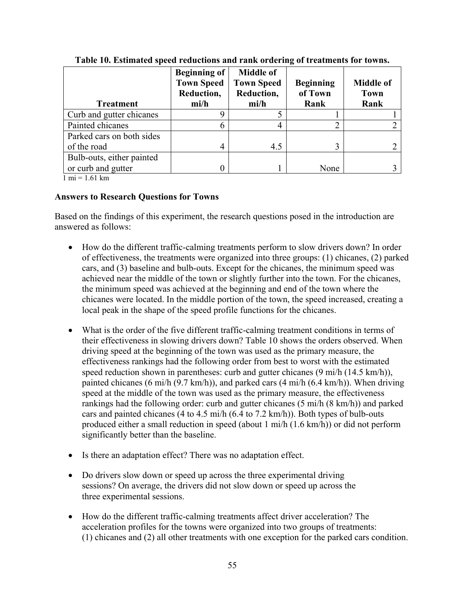|                           | <b>Beginning of</b> | <b>Middle of</b>  |                  |                  |
|---------------------------|---------------------|-------------------|------------------|------------------|
|                           | <b>Town Speed</b>   | <b>Town Speed</b> | <b>Beginning</b> | <b>Middle of</b> |
|                           | Reduction,          | Reduction,        | of Town          | <b>Town</b>      |
| <b>Treatment</b>          | mi/h                | mi/h              | Rank             | Rank             |
| Curb and gutter chicanes  |                     |                   |                  |                  |
| Painted chicanes          |                     |                   | ി                |                  |
| Parked cars on both sides |                     |                   |                  |                  |
| of the road               |                     | 4.5               |                  |                  |
| Bulb-outs, either painted |                     |                   |                  |                  |
| or curb and gutter        |                     |                   | None             |                  |

**Table 10. Estimated speed reductions and rank ordering of treatments for towns.** 

 $1 \text{ mi} = 1.61 \text{ km}$ 

### **Answers to Research Questions for Towns**

Based on the findings of this experiment, the research questions posed in the introduction are answered as follows:

- How do the different traffic-calming treatments perform to slow drivers down? In order of effectiveness, the treatments were organized into three groups: (1) chicanes, (2) parked cars, and (3) baseline and bulb-outs. Except for the chicanes, the minimum speed was achieved near the middle of the town or slightly further into the town. For the chicanes, the minimum speed was achieved at the beginning and end of the town where the chicanes were located. In the middle portion of the town, the speed increased, creating a local peak in the shape of the speed profile functions for the chicanes.
- What is the order of the five different traffic-calming treatment conditions in terms of their effectiveness in slowing drivers down? Table 10 shows the orders observed. When driving speed at the beginning of the town was used as the primary measure, the effectiveness rankings had the following order from best to worst with the estimated speed reduction shown in parentheses: curb and gutter chicanes (9 mi/h (14.5 km/h)), painted chicanes (6 mi/h (9.7 km/h)), and parked cars (4 mi/h (6.4 km/h)). When driving speed at the middle of the town was used as the primary measure, the effectiveness rankings had the following order: curb and gutter chicanes (5 mi/h (8 km/h)) and parked cars and painted chicanes (4 to 4.5 mi/h (6.4 to 7.2 km/h)). Both types of bulb-outs produced either a small reduction in speed (about 1 mi/h (1.6 km/h)) or did not perform significantly better than the baseline.
- Is there an adaptation effect? There was no adaptation effect.
- Do drivers slow down or speed up across the three experimental driving sessions? On average, the drivers did not slow down or speed up across the three experimental sessions.
- How do the different traffic-calming treatments affect driver acceleration? The acceleration profiles for the towns were organized into two groups of treatments: (1) chicanes and (2) all other treatments with one exception for the parked cars condition.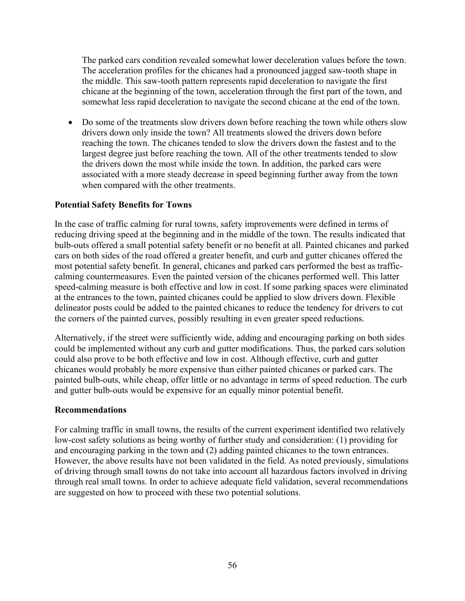The parked cars condition revealed somewhat lower deceleration values before the town. The acceleration profiles for the chicanes had a pronounced jagged saw-tooth shape in the middle. This saw-tooth pattern represents rapid deceleration to navigate the first chicane at the beginning of the town, acceleration through the first part of the town, and somewhat less rapid deceleration to navigate the second chicane at the end of the town.

• Do some of the treatments slow drivers down before reaching the town while others slow drivers down only inside the town? All treatments slowed the drivers down before reaching the town. The chicanes tended to slow the drivers down the fastest and to the largest degree just before reaching the town. All of the other treatments tended to slow the drivers down the most while inside the town. In addition, the parked cars were associated with a more steady decrease in speed beginning further away from the town when compared with the other treatments.

## **Potential Safety Benefits for Towns**

In the case of traffic calming for rural towns, safety improvements were defined in terms of reducing driving speed at the beginning and in the middle of the town. The results indicated that bulb-outs offered a small potential safety benefit or no benefit at all. Painted chicanes and parked cars on both sides of the road offered a greater benefit, and curb and gutter chicanes offered the most potential safety benefit. In general, chicanes and parked cars performed the best as trafficcalming countermeasures. Even the painted version of the chicanes performed well. This latter speed-calming measure is both effective and low in cost. If some parking spaces were eliminated at the entrances to the town, painted chicanes could be applied to slow drivers down. Flexible delineator posts could be added to the painted chicanes to reduce the tendency for drivers to cut the corners of the painted curves, possibly resulting in even greater speed reductions.

Alternatively, if the street were sufficiently wide, adding and encouraging parking on both sides could be implemented without any curb and gutter modifications. Thus, the parked cars solution could also prove to be both effective and low in cost. Although effective, curb and gutter chicanes would probably be more expensive than either painted chicanes or parked cars. The painted bulb-outs, while cheap, offer little or no advantage in terms of speed reduction. The curb and gutter bulb-outs would be expensive for an equally minor potential benefit.

## **Recommendations**

For calming traffic in small towns, the results of the current experiment identified two relatively low-cost safety solutions as being worthy of further study and consideration: (1) providing for and encouraging parking in the town and (2) adding painted chicanes to the town entrances. However, the above results have not been validated in the field. As noted previously, simulations of driving through small towns do not take into account all hazardous factors involved in driving through real small towns. In order to achieve adequate field validation, several recommendations are suggested on how to proceed with these two potential solutions.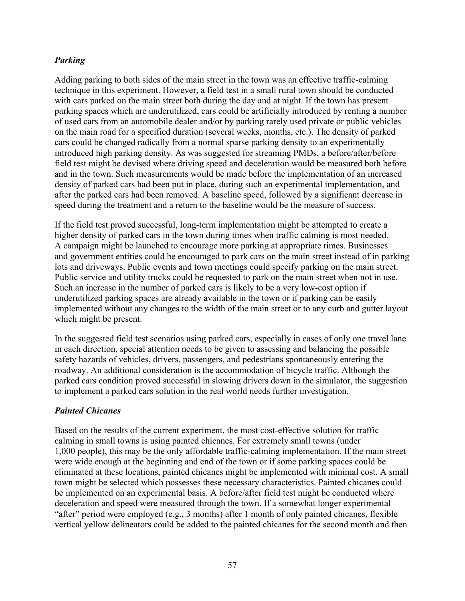# *Parking*

Adding parking to both sides of the main street in the town was an effective traffic-calming technique in this experiment. However, a field test in a small rural town should be conducted with cars parked on the main street both during the day and at night. If the town has present parking spaces which are underutilized, cars could be artificially introduced by renting a number of used cars from an automobile dealer and/or by parking rarely used private or public vehicles on the main road for a specified duration (several weeks, months, etc.). The density of parked cars could be changed radically from a normal sparse parking density to an experimentally introduced high parking density. As was suggested for streaming PMDs, a before/after/before field test might be devised where driving speed and deceleration would be measured both before and in the town. Such measurements would be made before the implementation of an increased density of parked cars had been put in place, during such an experimental implementation, and after the parked cars had been removed. A baseline speed, followed by a significant decrease in speed during the treatment and a return to the baseline would be the measure of success.

If the field test proved successful, long-term implementation might be attempted to create a higher density of parked cars in the town during times when traffic calming is most needed. A campaign might be launched to encourage more parking at appropriate times. Businesses and government entities could be encouraged to park cars on the main street instead of in parking lots and driveways. Public events and town meetings could specify parking on the main street. Public service and utility trucks could be requested to park on the main street when not in use. Such an increase in the number of parked cars is likely to be a very low-cost option if underutilized parking spaces are already available in the town or if parking can be easily implemented without any changes to the width of the main street or to any curb and gutter layout which might be present.

In the suggested field test scenarios using parked cars, especially in cases of only one travel lane in each direction, special attention needs to be given to assessing and balancing the possible safety hazards of vehicles, drivers, passengers, and pedestrians spontaneously entering the roadway. An additional consideration is the accommodation of bicycle traffic. Although the parked cars condition proved successful in slowing drivers down in the simulator, the suggestion to implement a parked cars solution in the real world needs further investigation.

## *Painted Chicanes*

Based on the results of the current experiment, the most cost-effective solution for traffic calming in small towns is using painted chicanes. For extremely small towns (under 1,000 people), this may be the only affordable traffic-calming implementation. If the main street were wide enough at the beginning and end of the town or if some parking spaces could be eliminated at these locations, painted chicanes might be implemented with minimal cost. A small town might be selected which possesses these necessary characteristics. Painted chicanes could be implemented on an experimental basis. A before/after field test might be conducted where deceleration and speed were measured through the town. If a somewhat longer experimental "after" period were employed (e.g., 3 months) after 1 month of only painted chicanes, flexible vertical yellow delineators could be added to the painted chicanes for the second month and then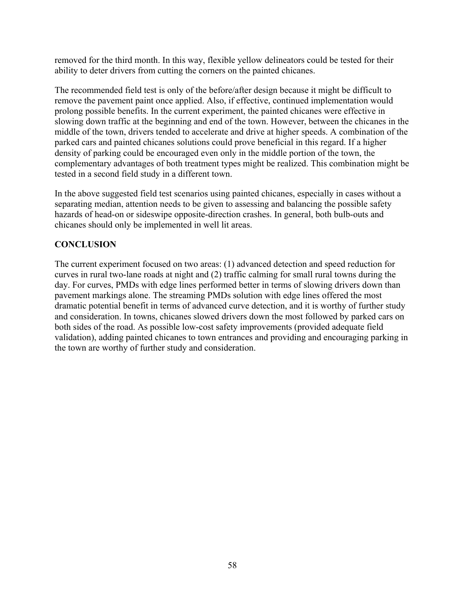removed for the third month. In this way, flexible yellow delineators could be tested for their ability to deter drivers from cutting the corners on the painted chicanes.

The recommended field test is only of the before/after design because it might be difficult to remove the pavement paint once applied. Also, if effective, continued implementation would prolong possible benefits. In the current experiment, the painted chicanes were effective in slowing down traffic at the beginning and end of the town. However, between the chicanes in the middle of the town, drivers tended to accelerate and drive at higher speeds. A combination of the parked cars and painted chicanes solutions could prove beneficial in this regard. If a higher density of parking could be encouraged even only in the middle portion of the town, the complementary advantages of both treatment types might be realized. This combination might be tested in a second field study in a different town.

In the above suggested field test scenarios using painted chicanes, especially in cases without a separating median, attention needs to be given to assessing and balancing the possible safety hazards of head-on or sideswipe opposite-direction crashes. In general, both bulb-outs and chicanes should only be implemented in well lit areas.

# **CONCLUSION**

The current experiment focused on two areas: (1) advanced detection and speed reduction for curves in rural two-lane roads at night and (2) traffic calming for small rural towns during the day. For curves, PMDs with edge lines performed better in terms of slowing drivers down than pavement markings alone. The streaming PMDs solution with edge lines offered the most dramatic potential benefit in terms of advanced curve detection, and it is worthy of further study and consideration. In towns, chicanes slowed drivers down the most followed by parked cars on both sides of the road. As possible low-cost safety improvements (provided adequate field validation), adding painted chicanes to town entrances and providing and encouraging parking in the town are worthy of further study and consideration.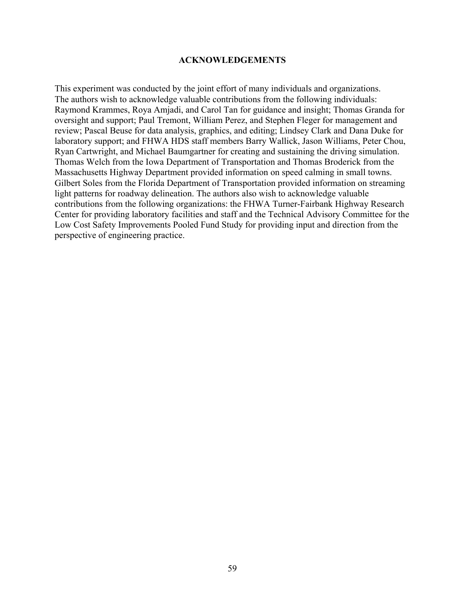#### **ACKNOWLEDGEMENTS**

This experiment was conducted by the joint effort of many individuals and organizations. The authors wish to acknowledge valuable contributions from the following individuals: Raymond Krammes, Roya Amjadi, and Carol Tan for guidance and insight; Thomas Granda for oversight and support; Paul Tremont, William Perez, and Stephen Fleger for management and review; Pascal Beuse for data analysis, graphics, and editing; Lindsey Clark and Dana Duke for laboratory support; and FHWA HDS staff members Barry Wallick, Jason Williams, Peter Chou, Ryan Cartwright, and Michael Baumgartner for creating and sustaining the driving simulation. Thomas Welch from the Iowa Department of Transportation and Thomas Broderick from the Massachusetts Highway Department provided information on speed calming in small towns. Gilbert Soles from the Florida Department of Transportation provided information on streaming light patterns for roadway delineation. The authors also wish to acknowledge valuable contributions from the following organizations: the FHWA Turner-Fairbank Highway Research Center for providing laboratory facilities and staff and the Technical Advisory Committee for the Low Cost Safety Improvements Pooled Fund Study for providing input and direction from the perspective of engineering practice.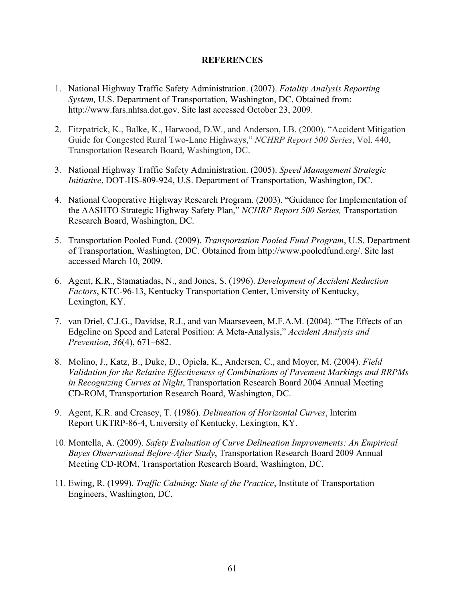#### **REFERENCES**

- 1. National Highway Traffic Safety Administration. (2007). *Fatality Analysis Reporting System,* U.S. Department of Transportation, Washington, DC. Obtained from: http://www.fars.nhtsa.dot.gov. Site last accessed October 23, 2009.
- 2. Fitzpatrick, K., Balke, K., Harwood, D.W., and Anderson, I.B. (2000). "Accident Mitigation Guide for Congested Rural Two-Lane Highways," *NCHRP Report 500 Series*, Vol. 440, Transportation Research Board, Washington, DC.
- 3. National Highway Traffic Safety Administration. (2005). *Speed Management Strategic Initiative*, DOT-HS-809-924, U.S. Department of Transportation, Washington, DC.
- 4. National Cooperative Highway Research Program. (2003). "Guidance for Implementation of the AASHTO Strategic Highway Safety Plan," *NCHRP Report 500 Series,* Transportation Research Board, Washington, DC.
- 5. Transportation Pooled Fund. (2009). *Transportation Pooled Fund Program*, U.S. Department of Transportation, Washington, DC. Obtained from http://www.pooledfund.org/. Site last accessed March 10, 2009.
- 6. Agent, K.R., Stamatiadas, N., and Jones, S. (1996). *Development of Accident Reduction Factors*, KTC-96-13, Kentucky Transportation Center, University of Kentucky, Lexington, KY.
- 7. van Driel, C.J.G., Davidse, R.J., and van Maarseveen, M.F.A.M. (2004). "The Effects of an Edgeline on Speed and Lateral Position: A Meta-Analysis," *Accident Analysis and Prevention*, *36*(4), 671–682.
- 8. Molino, J., Katz, B., Duke, D., Opiela, K., Andersen, C., and Moyer, M. (2004). *Field Validation for the Relative Effectiveness of Combinations of Pavement Markings and RRPMs in Recognizing Curves at Night*, Transportation Research Board 2004 Annual Meeting CD-ROM, Transportation Research Board, Washington, DC.
- 9. Agent, K.R. and Creasey, T. (1986). *Delineation of Horizontal Curves*, Interim Report UKTRP-86-4, University of Kentucky, Lexington, KY.
- 10. Montella, A. (2009). *Safety Evaluation of Curve Delineation Improvements: An Empirical Bayes Observational Before-After Study*, Transportation Research Board 2009 Annual Meeting CD-ROM, Transportation Research Board, Washington, DC.
- 11. Ewing, R. (1999). *Traffic Calming: State of the Practice*, Institute of Transportation Engineers, Washington, DC.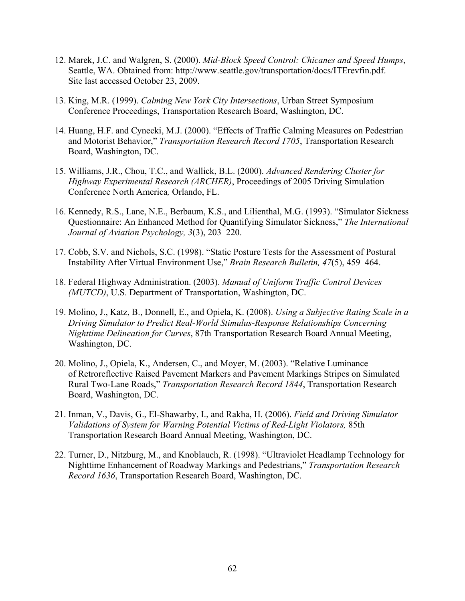- 12. Marek, J.C. and Walgren, S. (2000). *Mid-Block Speed Control: Chicanes and Speed Humps*, Seattle, WA. Obtained from: http://www.seattle.gov/transportation/docs/ITErevfin.pdf. Site last accessed October 23, 2009.
- 13. King, M.R. (1999). *Calming New York City Intersections*, Urban Street Symposium Conference Proceedings, Transportation Research Board, Washington, DC.
- 14. Huang, H.F. and Cynecki, M.J. (2000). "Effects of Traffic Calming Measures on Pedestrian and Motorist Behavior," *Transportation Research Record 1705*, Transportation Research Board, Washington, DC.
- 15. Williams, J.R., Chou, T.C., and Wallick, B.L. (2000). *Advanced Rendering Cluster for Highway Experimental Research (ARCHER)*, Proceedings of 2005 Driving Simulation Conference North America*,* Orlando, FL.
- 16. Kennedy, R.S., Lane, N.E., Berbaum, K.S., and Lilienthal, M.G. (1993). "Simulator Sickness Questionnaire: An Enhanced Method for Quantifying Simulator Sickness," *The International Journal of Aviation Psychology, 3*(3), 203–220.
- 17. Cobb, S.V. and Nichols, S.C. (1998). "Static Posture Tests for the Assessment of Postural Instability After Virtual Environment Use," *Brain Research Bulletin, 47*(5), 459–464.
- 18. Federal Highway Administration. (2003). *Manual of Uniform Traffic Control Devices (MUTCD)*, U.S. Department of Transportation, Washington, DC.
- 19. Molino, J., Katz, B., Donnell, E., and Opiela, K. (2008). *Using a Subjective Rating Scale in a Driving Simulator to Predict Real-World Stimulus-Response Relationships Concerning Nighttime Delineation for Curves*, 87th Transportation Research Board Annual Meeting, Washington, DC.
- 20. Molino, J., Opiela, K., Andersen, C., and Moyer, M. (2003). "Relative Luminance of Retroreflective Raised Pavement Markers and Pavement Markings Stripes on Simulated Rural Two-Lane Roads," *Transportation Research Record 1844*, Transportation Research Board, Washington, DC.
- 21. Inman, V., Davis, G., El-Shawarby, I., and Rakha, H. (2006). *Field and Driving Simulator Validations of System for Warning Potential Victims of Red-Light Violators,* 85th Transportation Research Board Annual Meeting, Washington, DC.
- 22. Turner, D., Nitzburg, M., and Knoblauch, R. (1998). "Ultraviolet Headlamp Technology for Nighttime Enhancement of Roadway Markings and Pedestrians," *Transportation Research Record 1636*, Transportation Research Board, Washington, DC.